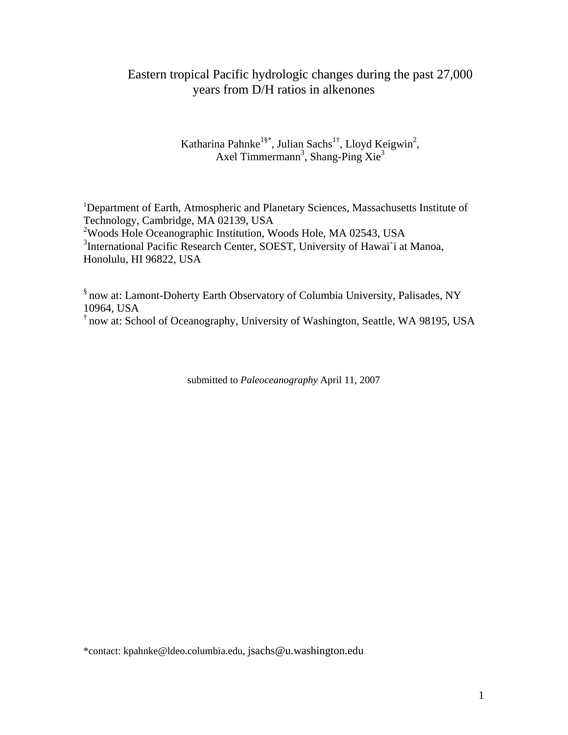# Eastern tropical Pacific hydrologic changes during the past 27,000 years from D/H ratios in alkenones

Katharina Pahnke<sup>1§\*</sup>, Julian Sachs<sup>1†</sup>, Lloyd Keigwin<sup>2</sup>, Axel Timmermann<sup>3</sup>, Shang-Ping Xie<sup>3</sup>

<sup>1</sup>Department of Earth, Atmospheric and Planetary Sciences, Massachusetts Institute of Technology, Cambridge, MA 02139, USA 2 Woods Hole Oceanographic Institution, Woods Hole, MA 02543, USA <sup>3</sup>International Pacific Research Center, SOEST, University of Hawai`i at Manoa, Honolulu, HI 96822, USA

§ now at: Lamont-Doherty Earth Observatory of Columbia University, Palisades, NY 10964, USA

† now at: School of Oceanography, University of Washington, Seattle, WA 98195, USA

submitted to *Paleoceanography* April 11, 2007

\*contact: kpahnke@ldeo.columbia.edu, jsachs@u.washington.edu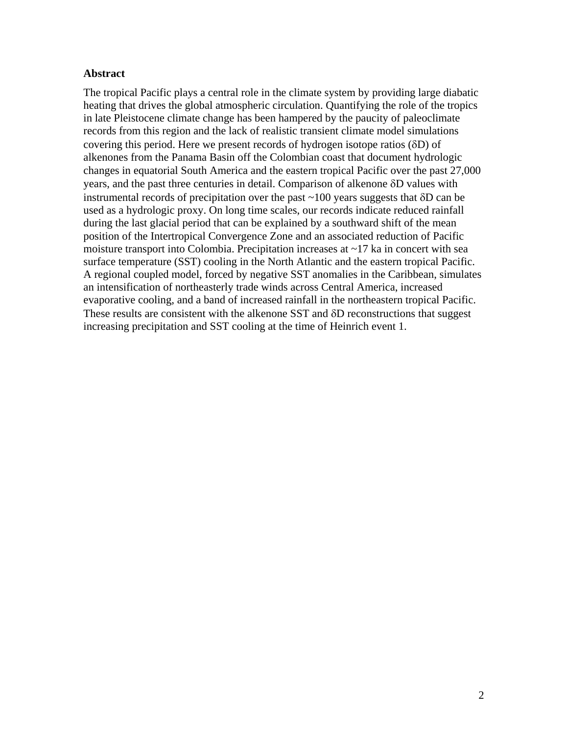# **Abstract**

The tropical Pacific plays a central role in the climate system by providing large diabatic heating that drives the global atmospheric circulation. Quantifying the role of the tropics in late Pleistocene climate change has been hampered by the paucity of paleoclimate records from this region and the lack of realistic transient climate model simulations covering this period. Here we present records of hydrogen isotope ratios (δD) of alkenones from the Panama Basin off the Colombian coast that document hydrologic changes in equatorial South America and the eastern tropical Pacific over the past 27,000 years, and the past three centuries in detail. Comparison of alkenone δD values with instrumental records of precipitation over the past ~100 years suggests that δD can be used as a hydrologic proxy. On long time scales, our records indicate reduced rainfall during the last glacial period that can be explained by a southward shift of the mean position of the Intertropical Convergence Zone and an associated reduction of Pacific moisture transport into Colombia. Precipitation increases at  $\sim$ 17 ka in concert with sea surface temperature (SST) cooling in the North Atlantic and the eastern tropical Pacific. A regional coupled model, forced by negative SST anomalies in the Caribbean, simulates an intensification of northeasterly trade winds across Central America, increased evaporative cooling, and a band of increased rainfall in the northeastern tropical Pacific. These results are consistent with the alkenone SST and δD reconstructions that suggest increasing precipitation and SST cooling at the time of Heinrich event 1.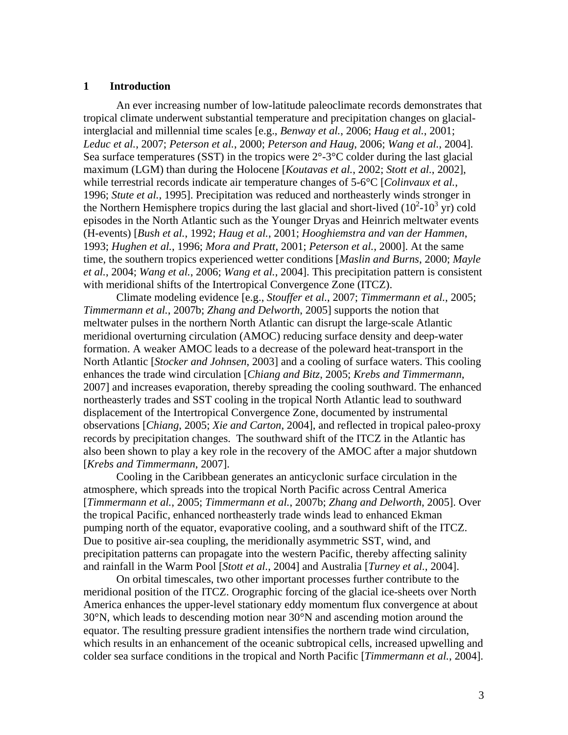#### **1 Introduction**

An ever increasing number of low-latitude paleoclimate records demonstrates that tropical climate underwent substantial temperature and precipitation changes on glacialinterglacial and millennial time scales [e.g., *Benway et al.*, 2006; *Haug et al.*, 2001; *Leduc et al.*, 2007; *Peterson et al.*, 2000; *Peterson and Haug*, 2006; *Wang et al.*, 2004]. Sea surface temperatures (SST) in the tropics were  $2^{\circ}$ -3 $^{\circ}$ C colder during the last glacial maximum (LGM) than during the Holocene [*Koutavas et al.*, 2002; *Stott et al.*, 2002], while terrestrial records indicate air temperature changes of 5-6°C [*Colinvaux et al.*, 1996; *Stute et al.*, 1995]. Precipitation was reduced and northeasterly winds stronger in the Northern Hemisphere tropics during the last glacial and short-lived  $(10^2\t{-}10^3\t{yr})$  cold episodes in the North Atlantic such as the Younger Dryas and Heinrich meltwater events (H-events) [*Bush et al.*, 1992; *Haug et al.*, 2001; *Hooghiemstra and van der Hammen*, 1993; *Hughen et al.*, 1996; *Mora and Pratt*, 2001; *Peterson et al.*, 2000]. At the same time, the southern tropics experienced wetter conditions [*Maslin and Burns*, 2000; *Mayle et al.*, 2004; *Wang et al.*, 2006; *Wang et al.*, 2004]. This precipitation pattern is consistent with meridional shifts of the Intertropical Convergence Zone (ITCZ).

Climate modeling evidence [e.g., *Stouffer et al.*, 2007; *Timmermann et al.*, 2005; *Timmermann et al.*, 2007b; *Zhang and Delworth*, 2005] supports the notion that meltwater pulses in the northern North Atlantic can disrupt the large-scale Atlantic meridional overturning circulation (AMOC) reducing surface density and deep-water formation. A weaker AMOC leads to a decrease of the poleward heat-transport in the North Atlantic [*Stocker and Johnsen*, 2003] and a cooling of surface waters. This cooling enhances the trade wind circulation [*Chiang and Bitz*, 2005; *Krebs and Timmermann*, 2007] and increases evaporation, thereby spreading the cooling southward. The enhanced northeasterly trades and SST cooling in the tropical North Atlantic lead to southward displacement of the Intertropical Convergence Zone, documented by instrumental observations [*Chiang*, 2005; *Xie and Carton*, 2004], and reflected in tropical paleo-proxy records by precipitation changes. The southward shift of the ITCZ in the Atlantic has also been shown to play a key role in the recovery of the AMOC after a major shutdown [*Krebs and Timmermann*, 2007].

Cooling in the Caribbean generates an anticyclonic surface circulation in the atmosphere, which spreads into the tropical North Pacific across Central America [*Timmermann et al.*, 2005; *Timmermann et al.*, 2007b; *Zhang and Delworth*, 2005]. Over the tropical Pacific, enhanced northeasterly trade winds lead to enhanced Ekman pumping north of the equator, evaporative cooling, and a southward shift of the ITCZ. Due to positive air-sea coupling, the meridionally asymmetric SST, wind, and precipitation patterns can propagate into the western Pacific, thereby affecting salinity and rainfall in the Warm Pool [*Stott et al.*, 2004] and Australia [*Turney et al.*, 2004].

On orbital timescales, two other important processes further contribute to the meridional position of the ITCZ. Orographic forcing of the glacial ice-sheets over North America enhances the upper-level stationary eddy momentum flux convergence at about 30°N, which leads to descending motion near 30°N and ascending motion around the equator. The resulting pressure gradient intensifies the northern trade wind circulation, which results in an enhancement of the oceanic subtropical cells, increased upwelling and colder sea surface conditions in the tropical and North Pacific [*Timmermann et al.*, 2004].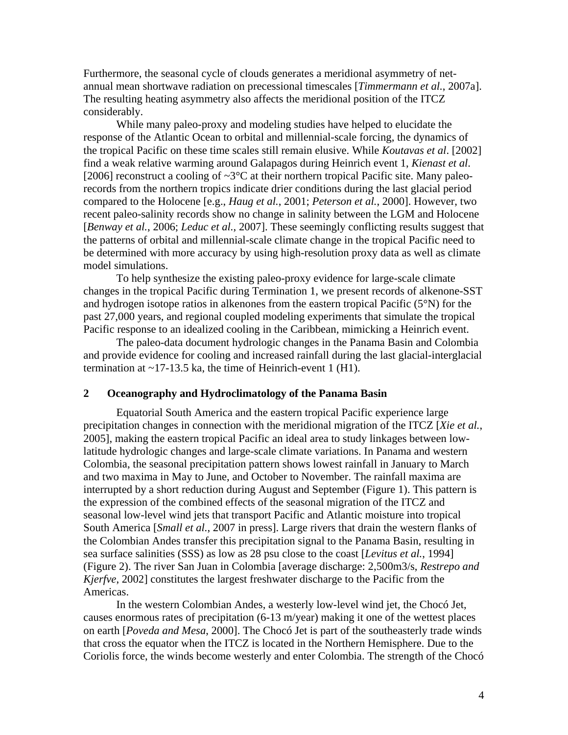Furthermore, the seasonal cycle of clouds generates a meridional asymmetry of netannual mean shortwave radiation on precessional timescales [*Timmermann et al.*, 2007a]. The resulting heating asymmetry also affects the meridional position of the ITCZ considerably.

While many paleo-proxy and modeling studies have helped to elucidate the response of the Atlantic Ocean to orbital and millennial-scale forcing, the dynamics of the tropical Pacific on these time scales still remain elusive. While *Koutavas et al*. [2002] find a weak relative warming around Galapagos during Heinrich event 1, *Kienast et al*. [2006] reconstruct a cooling of  $\sim 3^{\circ}$ C at their northern tropical Pacific site. Many paleorecords from the northern tropics indicate drier conditions during the last glacial period compared to the Holocene [e.g., *Haug et al.*, 2001; *Peterson et al.*, 2000]. However, two recent paleo-salinity records show no change in salinity between the LGM and Holocene [*Benway et al.*, 2006; *Leduc et al.*, 2007]. These seemingly conflicting results suggest that the patterns of orbital and millennial-scale climate change in the tropical Pacific need to be determined with more accuracy by using high-resolution proxy data as well as climate model simulations.

To help synthesize the existing paleo-proxy evidence for large-scale climate changes in the tropical Pacific during Termination 1, we present records of alkenone-SST and hydrogen isotope ratios in alkenones from the eastern tropical Pacific (5°N) for the past 27,000 years, and regional coupled modeling experiments that simulate the tropical Pacific response to an idealized cooling in the Caribbean, mimicking a Heinrich event.

The paleo-data document hydrologic changes in the Panama Basin and Colombia and provide evidence for cooling and increased rainfall during the last glacial-interglacial termination at  $\sim$ 17-13.5 ka, the time of Heinrich-event 1 (H1).

## **2 Oceanography and Hydroclimatology of the Panama Basin**

Equatorial South America and the eastern tropical Pacific experience large precipitation changes in connection with the meridional migration of the ITCZ [*Xie et al.*, 2005], making the eastern tropical Pacific an ideal area to study linkages between lowlatitude hydrologic changes and large-scale climate variations. In Panama and western Colombia, the seasonal precipitation pattern shows lowest rainfall in January to March and two maxima in May to June, and October to November. The rainfall maxima are interrupted by a short reduction during August and September (Figure 1). This pattern is the expression of the combined effects of the seasonal migration of the ITCZ and seasonal low-level wind jets that transport Pacific and Atlantic moisture into tropical South America [*Small et al.*, 2007 in press]. Large rivers that drain the western flanks of the Colombian Andes transfer this precipitation signal to the Panama Basin, resulting in sea surface salinities (SSS) as low as 28 psu close to the coast [*Levitus et al.*, 1994] (Figure 2). The river San Juan in Colombia [average discharge: 2,500m3/s, *Restrepo and Kjerfve*, 2002] constitutes the largest freshwater discharge to the Pacific from the Americas.

In the western Colombian Andes, a westerly low-level wind jet, the Chocó Jet, causes enormous rates of precipitation (6-13 m/year) making it one of the wettest places on earth [*Poveda and Mesa*, 2000]. The Chocó Jet is part of the southeasterly trade winds that cross the equator when the ITCZ is located in the Northern Hemisphere. Due to the Coriolis force, the winds become westerly and enter Colombia. The strength of the Chocó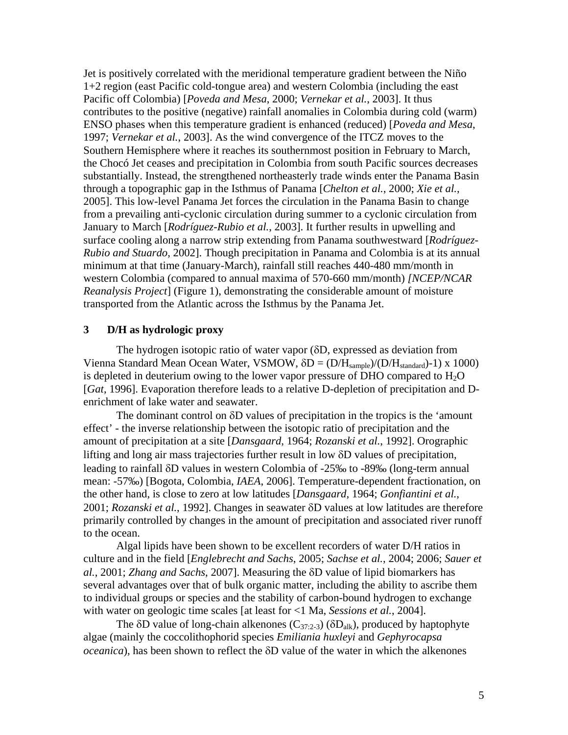Jet is positively correlated with the meridional temperature gradient between the Niño 1+2 region (east Pacific cold-tongue area) and western Colombia (including the east Pacific off Colombia) [*Poveda and Mesa*, 2000; *Vernekar et al.*, 2003]. It thus contributes to the positive (negative) rainfall anomalies in Colombia during cold (warm) ENSO phases when this temperature gradient is enhanced (reduced) [*Poveda and Mesa*, 1997; *Vernekar et al.*, 2003]. As the wind convergence of the ITCZ moves to the Southern Hemisphere where it reaches its southernmost position in February to March, the Chocó Jet ceases and precipitation in Colombia from south Pacific sources decreases substantially. Instead, the strengthened northeasterly trade winds enter the Panama Basin through a topographic gap in the Isthmus of Panama [*Chelton et al.*, 2000; *Xie et al.*, 2005]. This low-level Panama Jet forces the circulation in the Panama Basin to change from a prevailing anti-cyclonic circulation during summer to a cyclonic circulation from January to March [*Rodríguez-Rubio et al.*, 2003]. It further results in upwelling and surface cooling along a narrow strip extending from Panama southwestward [*Rodríguez-Rubio and Stuardo*, 2002]. Though precipitation in Panama and Colombia is at its annual minimum at that time (January-March), rainfall still reaches 440-480 mm/month in western Colombia (compared to annual maxima of 570-660 mm/month) *[NCEP/NCAR Reanalysis Project*] (Figure 1), demonstrating the considerable amount of moisture transported from the Atlantic across the Isthmus by the Panama Jet.

#### **3 D/H as hydrologic proxy**

The hydrogen isotopic ratio of water vapor (δD, expressed as deviation from Vienna Standard Mean Ocean Water, VSMOW,  $\delta D = (D/H_{sample})/(D/H_{standard})-1)$  x 1000) is depleted in deuterium owing to the lower vapor pressure of DHO compared to  $H_2O$ [*Gat*, 1996]. Evaporation therefore leads to a relative D-depletion of precipitation and Denrichment of lake water and seawater.

The dominant control on  $\delta D$  values of precipitation in the tropics is the 'amount' effect' - the inverse relationship between the isotopic ratio of precipitation and the amount of precipitation at a site [*Dansgaard*, 1964; *Rozanski et al.*, 1992]. Orographic lifting and long air mass trajectories further result in low δD values of precipitation, leading to rainfall δD values in western Colombia of -25‰ to -89‰ (long-term annual mean: -57‰) [Bogota, Colombia, *IAEA*, 2006]. Temperature-dependent fractionation, on the other hand, is close to zero at low latitudes [*Dansgaard*, 1964; *Gonfiantini et al.*, 2001; *Rozanski et al.*, 1992]. Changes in seawater δD values at low latitudes are therefore primarily controlled by changes in the amount of precipitation and associated river runoff to the ocean.

Algal lipids have been shown to be excellent recorders of water D/H ratios in culture and in the field [*Englebrecht and Sachs*, 2005; *Sachse et al.*, 2004; 2006; *Sauer et al.*, 2001; *Zhang and Sachs*, 2007]. Measuring the δD value of lipid biomarkers has several advantages over that of bulk organic matter, including the ability to ascribe them to individual groups or species and the stability of carbon-bound hydrogen to exchange with water on geologic time scales [at least for <1 Ma, *Sessions et al.*, 2004].

The  $\delta$ D value of long-chain alkenones (C<sub>37:2-3</sub>) ( $\delta$ D<sub>alk</sub>), produced by haptophyte algae (mainly the coccolithophorid species *Emiliania huxleyi* and *Gephyrocapsa oceanica*), has been shown to reflect the δD value of the water in which the alkenones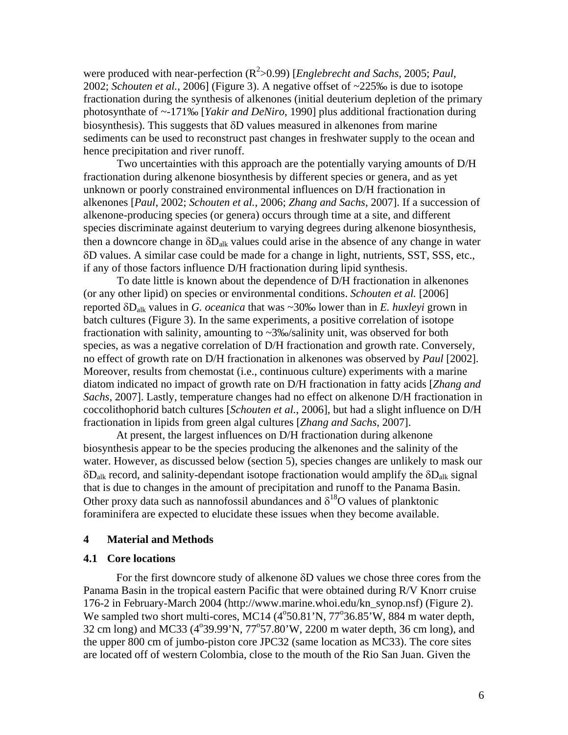were produced with near-perfection (R<sup>2</sup>>0.99) [*Englebrecht and Sachs*, 2005; *Paul*, 2002; *Schouten et al.*, 2006] (Figure 3). A negative offset of ~225‰ is due to isotope fractionation during the synthesis of alkenones (initial deuterium depletion of the primary photosynthate of ~-171‰ [*Yakir and DeNiro*, 1990] plus additional fractionation during biosynthesis). This suggests that δD values measured in alkenones from marine sediments can be used to reconstruct past changes in freshwater supply to the ocean and hence precipitation and river runoff.

Two uncertainties with this approach are the potentially varying amounts of D/H fractionation during alkenone biosynthesis by different species or genera, and as yet unknown or poorly constrained environmental influences on D/H fractionation in alkenones [*Paul*, 2002; *Schouten et al.*, 2006; *Zhang and Sachs*, 2007]. If a succession of alkenone-producing species (or genera) occurs through time at a site, and different species discriminate against deuterium to varying degrees during alkenone biosynthesis, then a downcore change in  $\delta D_{\text{alk}}$  values could arise in the absence of any change in water δD values. A similar case could be made for a change in light, nutrients, SST, SSS, etc., if any of those factors influence D/H fractionation during lipid synthesis.

To date little is known about the dependence of D/H fractionation in alkenones (or any other lipid) on species or environmental conditions. *Schouten et al.* [2006] reported δDalk values in *G. oceanica* that was ~30‰ lower than in *E. huxleyi* grown in batch cultures (Figure 3). In the same experiments, a positive correlation of isotope fractionation with salinity, amounting to ~3‰/salinity unit, was observed for both species, as was a negative correlation of D/H fractionation and growth rate. Conversely, no effect of growth rate on D/H fractionation in alkenones was observed by *Paul* [2002]. Moreover, results from chemostat (i.e., continuous culture) experiments with a marine diatom indicated no impact of growth rate on D/H fractionation in fatty acids [*Zhang and Sachs*, 2007]. Lastly, temperature changes had no effect on alkenone D/H fractionation in coccolithophorid batch cultures [*Schouten et al.*, 2006], but had a slight influence on D/H fractionation in lipids from green algal cultures [*Zhang and Sachs*, 2007].

At present, the largest influences on D/H fractionation during alkenone biosynthesis appear to be the species producing the alkenones and the salinity of the water. However, as discussed below (section 5), species changes are unlikely to mask our  $\delta D_{\text{alk}}$  record, and salinity-dependant isotope fractionation would amplify the  $\delta D_{\text{alk}}$  signal that is due to changes in the amount of precipitation and runoff to the Panama Basin. Other proxy data such as nannofossil abundances and  $\delta^{18}O$  values of planktonic foraminifera are expected to elucidate these issues when they become available.

#### **4 Material and Methods**

## **4.1 Core locations**

For the first downcore study of alkenone δD values we chose three cores from the Panama Basin in the tropical eastern Pacific that were obtained during R/V Knorr cruise 176-2 in February-March 2004 (http://www.marine.whoi.edu/kn\_synop.nsf) (Figure 2). We sampled two short multi-cores, MC14 (4°50.81'N, 77°36.85'W, 884 m water depth, 32 cm long) and MC33 (4°39.99'N, 77°57.80'W, 2200 m water depth, 36 cm long), and the upper 800 cm of jumbo-piston core JPC32 (same location as MC33). The core sites are located off of western Colombia, close to the mouth of the Rio San Juan. Given the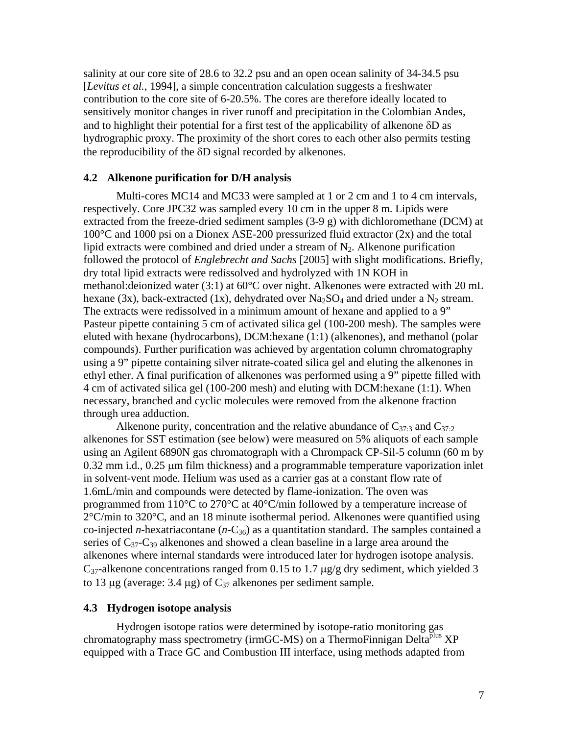salinity at our core site of 28.6 to 32.2 psu and an open ocean salinity of 34-34.5 psu [*Levitus et al.*, 1994], a simple concentration calculation suggests a freshwater contribution to the core site of 6-20.5%. The cores are therefore ideally located to sensitively monitor changes in river runoff and precipitation in the Colombian Andes, and to highlight their potential for a first test of the applicability of alkenone  $\delta D$  as hydrographic proxy. The proximity of the short cores to each other also permits testing the reproducibility of the δD signal recorded by alkenones.

#### **4.2 Alkenone purification for D/H analysis**

Multi-cores MC14 and MC33 were sampled at 1 or 2 cm and 1 to 4 cm intervals, respectively. Core JPC32 was sampled every 10 cm in the upper 8 m. Lipids were extracted from the freeze-dried sediment samples (3-9 g) with dichloromethane (DCM) at 100°C and 1000 psi on a Dionex ASE-200 pressurized fluid extractor (2x) and the total lipid extracts were combined and dried under a stream of  $N_2$ . Alkenone purification followed the protocol of *Englebrecht and Sachs* [2005] with slight modifications. Briefly, dry total lipid extracts were redissolved and hydrolyzed with 1N KOH in methanol:deionized water (3:1) at 60°C over night. Alkenones were extracted with 20 mL hexane (3x), back-extracted (1x), dehydrated over  $Na<sub>2</sub>SO<sub>4</sub>$  and dried under a N<sub>2</sub> stream. The extracts were redissolved in a minimum amount of hexane and applied to a 9" Pasteur pipette containing 5 cm of activated silica gel (100-200 mesh). The samples were eluted with hexane (hydrocarbons), DCM:hexane (1:1) (alkenones), and methanol (polar compounds). Further purification was achieved by argentation column chromatography using a 9" pipette containing silver nitrate-coated silica gel and eluting the alkenones in ethyl ether. A final purification of alkenones was performed using a 9" pipette filled with 4 cm of activated silica gel (100-200 mesh) and eluting with DCM:hexane (1:1). When necessary, branched and cyclic molecules were removed from the alkenone fraction through urea adduction.

Alkenone purity, concentration and the relative abundance of  $C_{37:3}$  and  $C_{37:2}$ alkenones for SST estimation (see below) were measured on 5% aliquots of each sample using an Agilent 6890N gas chromatograph with a Chrompack CP-Sil-5 column (60 m by 0.32 mm i.d., 0.25 μm film thickness) and a programmable temperature vaporization inlet in solvent-vent mode. Helium was used as a carrier gas at a constant flow rate of 1.6mL/min and compounds were detected by flame-ionization. The oven was programmed from 110°C to 270°C at 40°C/min followed by a temperature increase of  $2^{\circ}$ C/min to 320 $^{\circ}$ C, and an 18 minute isothermal period. Alkenones were quantified using co-injected *n*-hexatriacontane  $(n-C_{36})$  as a quantitation standard. The samples contained a series of  $C_{37}-C_{39}$  alkenones and showed a clean baseline in a large area around the alkenones where internal standards were introduced later for hydrogen isotope analysis.  $C_{37}$ -alkenone concentrations ranged from 0.15 to 1.7  $\mu$ g/g dry sediment, which yielded 3 to 13 μg (average: 3.4 μg) of  $C_{37}$  alkenones per sediment sample.

#### **4.3 Hydrogen isotope analysis**

Hydrogen isotope ratios were determined by isotope-ratio monitoring gas chromatography mass spectrometry (irmGC-MS) on a ThermoFinnigan Delta<sup>plus</sup> XP equipped with a Trace GC and Combustion III interface, using methods adapted from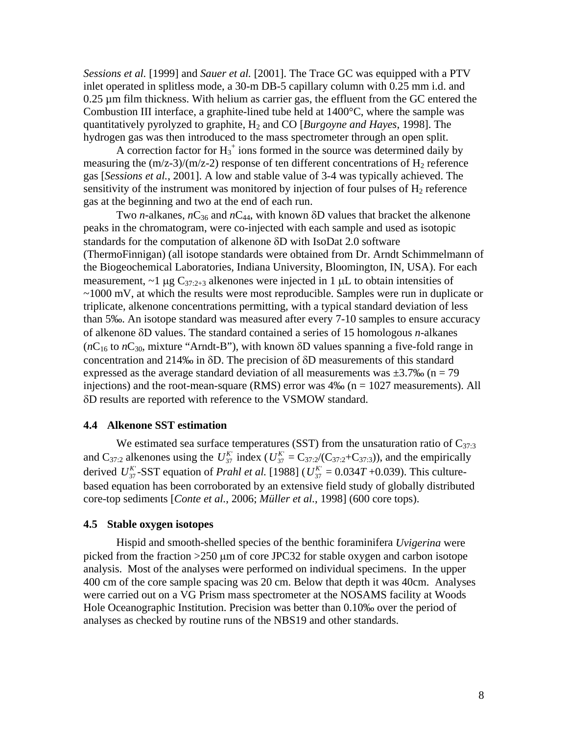*Sessions et al.* [1999] and *Sauer et al.* [2001]. The Trace GC was equipped with a PTV inlet operated in splitless mode, a 30-m DB-5 capillary column with 0.25 mm i.d. and 0.25 µm film thickness. With helium as carrier gas, the effluent from the GC entered the Combustion III interface, a graphite-lined tube held at  $1400^{\circ}$ C, where the sample was quantitatively pyrolyzed to graphite, H2 and CO [*Burgoyne and Hayes*, 1998]. The hydrogen gas was then introduced to the mass spectrometer through an open split.

A correction factor for  $H_3^+$  ions formed in the source was determined daily by measuring the  $(m/z-3)/(m/z-2)$  response of ten different concentrations of  $H_2$  reference gas [*Sessions et al.*, 2001]. A low and stable value of 3-4 was typically achieved. The sensitivity of the instrument was monitored by injection of four pulses of  $H_2$  reference gas at the beginning and two at the end of each run.

Two *n*-alkanes,  $nC_{36}$  and  $nC_{44}$ , with known  $\delta$ D values that bracket the alkenone peaks in the chromatogram, were co-injected with each sample and used as isotopic standards for the computation of alkenone δD with IsoDat 2.0 software (ThermoFinnigan) (all isotope standards were obtained from Dr. Arndt Schimmelmann of the Biogeochemical Laboratories, Indiana University, Bloomington, IN, USA). For each measurement,  $\sim$ 1 μg C<sub>37:2+3</sub> alkenones were injected in 1 μL to obtain intensities of ~1000 mV, at which the results were most reproducible. Samples were run in duplicate or triplicate, alkenone concentrations permitting, with a typical standard deviation of less than 5‰. An isotope standard was measured after every 7-10 samples to ensure accuracy of alkenone δD values. The standard contained a series of 15 homologous *n*-alkanes  $(nC_{16}$  to  $nC_{30}$ , mixture "Arndt-B"), with known  $\delta$ D values spanning a five-fold range in concentration and 214‰ in δD. The precision of δD measurements of this standard expressed as the average standard deviation of all measurements was  $\pm 3.7\%$  (n = 79 injections) and the root-mean-square (RMS) error was  $4\%$  (n = 1027 measurements). All δD results are reported with reference to the VSMOW standard.

#### **4.4 Alkenone SST estimation**

We estimated sea surface temperatures (SST) from the unsaturation ratio of  $C_{37:3}$ and C<sub>37:2</sub> alkenones using the  $U_{37}^{K'}$  index ( $U_{37}^{K'} = C_{37:2}/(C_{37:2}+C_{37:3})$ ), and the empirically derived  $U_{37}^{K}$ -SST equation of *Prahl et al.* [1988] ( $U_{37}^{K}$  = 0.034*T* +0.039). This culturebased equation has been corroborated by an extensive field study of globally distributed core-top sediments [*Conte et al.*, 2006; *Müller et al.*, 1998] (600 core tops).

#### **4.5 Stable oxygen isotopes**

Hispid and smooth-shelled species of the benthic foraminifera *Uvigerina* were picked from the fraction >250 μm of core JPC32 for stable oxygen and carbon isotope analysis. Most of the analyses were performed on individual specimens. In the upper 400 cm of the core sample spacing was 20 cm. Below that depth it was 40cm. Analyses were carried out on a VG Prism mass spectrometer at the NOSAMS facility at Woods Hole Oceanographic Institution. Precision was better than 0.10‰ over the period of analyses as checked by routine runs of the NBS19 and other standards.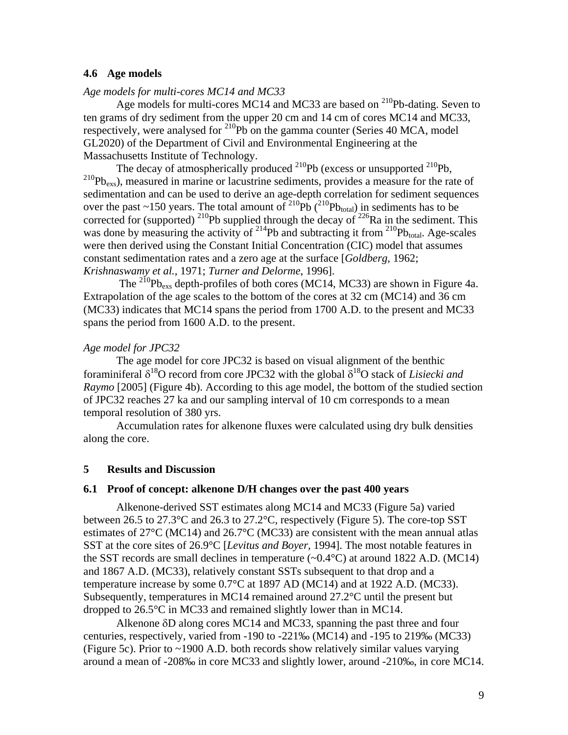## **4.6 Age models**

# *Age models for multi-cores MC14 and MC33*

Age models for multi-cores MC14 and MC33 are based on  $^{210}$ Pb-dating. Seven to ten grams of dry sediment from the upper 20 cm and 14 cm of cores MC14 and MC33, respectively, were analysed for  $^{210}Pb$  on the gamma counter (Series 40 MCA, model GL2020) of the Department of Civil and Environmental Engineering at the Massachusetts Institute of Technology.

The decay of atmospherically produced  $^{210}Pb$  (excess or unsupported  $^{210}Pb$ ,  $210Pb_{\text{exs}}$ ), measured in marine or lacustrine sediments, provides a measure for the rate of sedimentation and can be used to derive an age-depth correlation for sediment sequences over the past ~150 years. The total amount of  $^{210}Pb$  ( $^{210}Pb_{total}$ ) in sediments has to be corrected for (supported) <sup>210</sup>Pb supplied through the decay of <sup>226</sup>Ra in the sediment. This was done by measuring the activity of  $^{214}Pb$  and subtracting it from  $^{210}Pb_{total}$ . Age-scales were then derived using the Constant Initial Concentration (CIC) model that assumes constant sedimentation rates and a zero age at the surface [*Goldberg*, 1962; *Krishnaswamy et al.*, 1971; *Turner and Delorme*, 1996].

The  $^{210}Pb_{\text{ex}}$  depth-profiles of both cores (MC14, MC33) are shown in Figure 4a. Extrapolation of the age scales to the bottom of the cores at 32 cm (MC14) and 36 cm (MC33) indicates that MC14 spans the period from 1700 A.D. to the present and MC33 spans the period from 1600 A.D. to the present.

#### *Age model for JPC32*

The age model for core JPC32 is based on visual alignment of the benthic foraminiferal  $\delta^{18}O$  record from core JPC32 with the global  $\delta^{18}O$  stack of *Lisiecki and Raymo* [2005] (Figure 4b). According to this age model, the bottom of the studied section of JPC32 reaches 27 ka and our sampling interval of 10 cm corresponds to a mean temporal resolution of 380 yrs.

Accumulation rates for alkenone fluxes were calculated using dry bulk densities along the core.

#### **5 Results and Discussion**

## **6.1 Proof of concept: alkenone D/H changes over the past 400 years**

Alkenone-derived SST estimates along MC14 and MC33 (Figure 5a) varied between 26.5 to 27.3°C and 26.3 to 27.2°C, respectively (Figure 5). The core-top SST estimates of 27°C (MC14) and 26.7°C (MC33) are consistent with the mean annual atlas SST at the core sites of 26.9°C [*Levitus and Boyer*, 1994]. The most notable features in the SST records are small declines in temperature  $(\sim 0.4\degree C)$  at around 1822 A.D. (MC14) and 1867 A.D. (MC33), relatively constant SSTs subsequent to that drop and a temperature increase by some 0.7°C at 1897 AD (MC14) and at 1922 A.D. (MC33). Subsequently, temperatures in MC14 remained around 27.2°C until the present but dropped to 26.5°C in MC33 and remained slightly lower than in MC14.

Alkenone δD along cores MC14 and MC33, spanning the past three and four centuries, respectively, varied from -190 to -221‰ (MC14) and -195 to 219‰ (MC33) (Figure 5c). Prior to ~1900 A.D. both records show relatively similar values varying around a mean of -208‰ in core MC33 and slightly lower, around -210‰, in core MC14.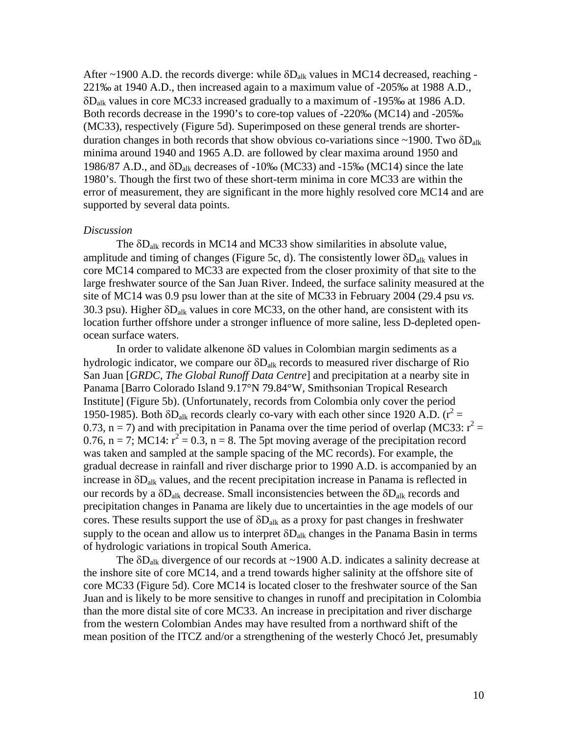After ~1900 A.D. the records diverge: while  $\delta D_{\text{alk}}$  values in MC14 decreased, reaching -221‰ at 1940 A.D., then increased again to a maximum value of -205‰ at 1988 A.D., δDalk values in core MC33 increased gradually to a maximum of -195‰ at 1986 A.D. Both records decrease in the 1990's to core-top values of -220‰ (MC14) and -205‰ (MC33), respectively (Figure 5d). Superimposed on these general trends are shorterduration changes in both records that show obvious co-variations since  $\sim$ 1900. Two  $\delta D_{\text{alk}}$ minima around 1940 and 1965 A.D. are followed by clear maxima around 1950 and 1986/87 A.D., and  $\delta D_{\text{alk}}$  decreases of -10‰ (MC33) and -15‰ (MC14) since the late 1980's. Though the first two of these short-term minima in core MC33 are within the error of measurement, they are significant in the more highly resolved core MC14 and are supported by several data points.

#### *Discussion*

The δDalk records in MC14 and MC33 show similarities in absolute value, amplitude and timing of changes (Figure 5c, d). The consistently lower  $\delta D_{alk}$  values in core MC14 compared to MC33 are expected from the closer proximity of that site to the large freshwater source of the San Juan River. Indeed, the surface salinity measured at the site of MC14 was 0.9 psu lower than at the site of MC33 in February 2004 (29.4 psu *vs.* 30.3 psu). Higher  $\delta D_{\text{alk}}$  values in core MC33, on the other hand, are consistent with its location further offshore under a stronger influence of more saline, less D-depleted openocean surface waters.

In order to validate alkenone δD values in Colombian margin sediments as a hydrologic indicator, we compare our  $\delta D_{\text{alk}}$  records to measured river discharge of Rio San Juan [*GRDC, The Global Runoff Data Centre*] and precipitation at a nearby site in Panama [Barro Colorado Island 9.17°N 79.84°W, Smithsonian Tropical Research Institute] (Figure 5b). (Unfortunately, records from Colombia only cover the period 1950-1985). Both  $\delta D_{\text{alk}}$  records clearly co-vary with each other since 1920 A.D. ( $r^2$  = 0.73, n = 7) and with precipitation in Panama over the time period of overlap (MC33:  $r^2$  = 0.76, n = 7; MC14:  $r^2 = 0.3$ , n = 8. The 5pt moving average of the precipitation record was taken and sampled at the sample spacing of the MC records). For example, the gradual decrease in rainfall and river discharge prior to 1990 A.D. is accompanied by an increase in  $\delta D_{\text{alk}}$  values, and the recent precipitation increase in Panama is reflected in our records by a  $\delta D_{\text{alk}}$  decrease. Small inconsistencies between the  $\delta D_{\text{alk}}$  records and precipitation changes in Panama are likely due to uncertainties in the age models of our cores. These results support the use of  $\delta D_{\text{alk}}$  as a proxy for past changes in freshwater supply to the ocean and allow us to interpret  $\delta D_{\text{alk}}$  changes in the Panama Basin in terms of hydrologic variations in tropical South America.

The  $\delta D_{\text{alk}}$  divergence of our records at ~1900 A.D. indicates a salinity decrease at the inshore site of core MC14, and a trend towards higher salinity at the offshore site of core MC33 (Figure 5d). Core MC14 is located closer to the freshwater source of the San Juan and is likely to be more sensitive to changes in runoff and precipitation in Colombia than the more distal site of core MC33. An increase in precipitation and river discharge from the western Colombian Andes may have resulted from a northward shift of the mean position of the ITCZ and/or a strengthening of the westerly Chocó Jet, presumably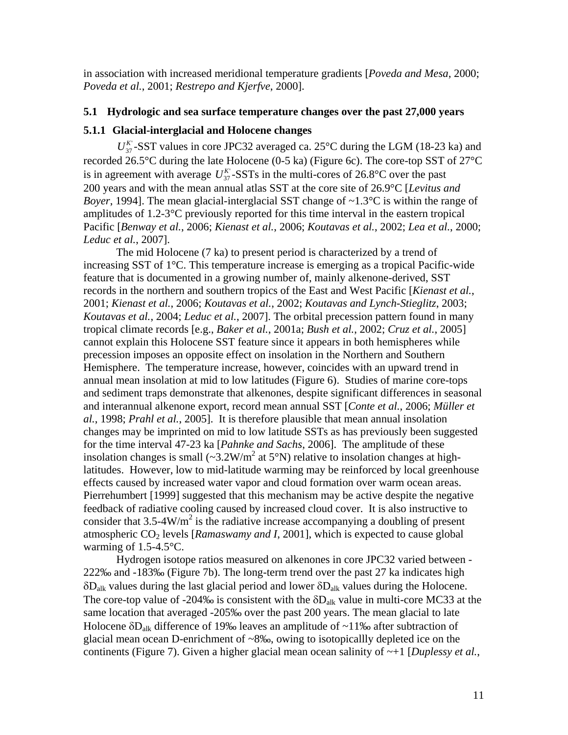in association with increased meridional temperature gradients [*Poveda and Mesa*, 2000; *Poveda et al.*, 2001; *Restrepo and Kjerfve*, 2000].

# **5.1 Hydrologic and sea surface temperature changes over the past 27,000 years**

# **5.1.1 Glacial-interglacial and Holocene changes**

 $U_{37}^{K}$ -SST values in core JPC32 averaged ca. 25°C during the LGM (18-23 ka) and recorded 26.5°C during the late Holocene (0-5 ka) (Figure 6c). The core-top SST of 27°C is in agreement with average  $U_{37}^K$ -SSTs in the multi-cores of 26.8°C over the past 200 years and with the mean annual atlas SST at the core site of 26.9°C [*Levitus and Boyer*, 1994]. The mean glacial-interglacial SST change of ~1.3°C is within the range of amplitudes of 1.2-3°C previously reported for this time interval in the eastern tropical Pacific [*Benway et al.*, 2006; *Kienast et al.*, 2006; *Koutavas et al.*, 2002; *Lea et al.*, 2000; *Leduc et al.*, 2007].

The mid Holocene (7 ka) to present period is characterized by a trend of increasing SST of 1°C. This temperature increase is emerging as a tropical Pacific-wide feature that is documented in a growing number of, mainly alkenone-derived, SST records in the northern and southern tropics of the East and West Pacific [*Kienast et al.*, 2001; *Kienast et al.*, 2006; *Koutavas et al.*, 2002; *Koutavas and Lynch-Stieglitz*, 2003; *Koutavas et al.*, 2004; *Leduc et al.*, 2007]. The orbital precession pattern found in many tropical climate records [e.g., *Baker et al.*, 2001a; *Bush et al.*, 2002; *Cruz et al.*, 2005] cannot explain this Holocene SST feature since it appears in both hemispheres while precession imposes an opposite effect on insolation in the Northern and Southern Hemisphere. The temperature increase, however, coincides with an upward trend in annual mean insolation at mid to low latitudes (Figure 6). Studies of marine core-tops and sediment traps demonstrate that alkenones, despite significant differences in seasonal and interannual alkenone export, record mean annual SST [*Conte et al.*, 2006; *Müller et al.*, 1998; *Prahl et al.*, 2005]. It is therefore plausible that mean annual insolation changes may be imprinted on mid to low latitude SSTs as has previously been suggested for the time interval 47-23 ka [*Pahnke and Sachs*, 2006]. The amplitude of these insolation changes is small ( $\sim$ 3.2W/m<sup>2</sup> at 5°N) relative to insolation changes at highlatitudes. However, low to mid-latitude warming may be reinforced by local greenhouse effects caused by increased water vapor and cloud formation over warm ocean areas. Pierrehumbert [1999] suggested that this mechanism may be active despite the negative feedback of radiative cooling caused by increased cloud cover. It is also instructive to consider that  $3.5-4$ W/m<sup>2</sup> is the radiative increase accompanying a doubling of present atmospheric CO2 levels [*Ramaswamy and I*, 2001], which is expected to cause global warming of 1.5-4.5°C.

Hydrogen isotope ratios measured on alkenones in core JPC32 varied between - 222‰ and -183‰ (Figure 7b). The long-term trend over the past 27 ka indicates high  $\delta D_{\text{alk}}$  values during the last glacial period and lower  $\delta D_{\text{alk}}$  values during the Holocene. The core-top value of -204‰ is consistent with the  $\delta D_{alk}$  value in multi-core MC33 at the same location that averaged -205‰ over the past 200 years. The mean glacial to late Holocene δDalk difference of 19‰ leaves an amplitude of ~11‰ after subtraction of glacial mean ocean D-enrichment of ~8‰, owing to isotopicallly depleted ice on the continents (Figure 7). Given a higher glacial mean ocean salinity of  $\sim$ +1 [*Duplessy et al.*,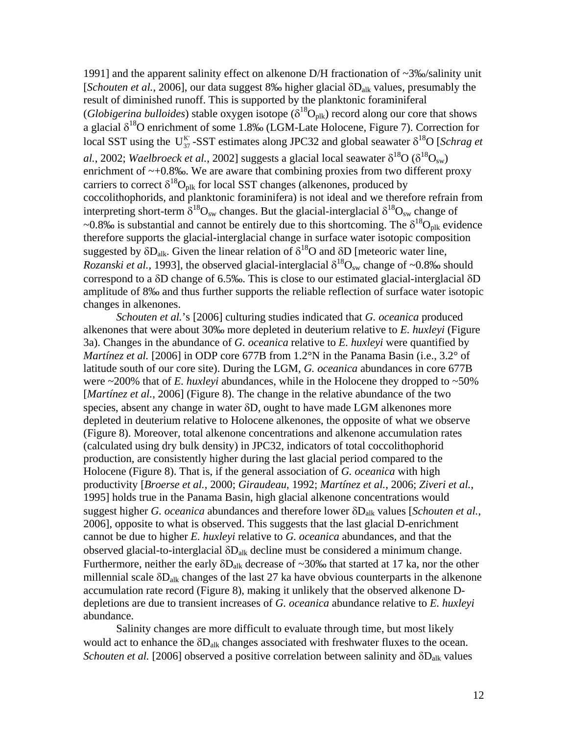1991] and the apparent salinity effect on alkenone D/H fractionation of ~3‰/salinity unit [*Schouten et al.*, 2006], our data suggest 8‰ higher glacial δD<sub>alk</sub> values, presumably the result of diminished runoff. This is supported by the planktonic foraminiferal (*Globigerina bulloides*) stable oxygen isotope ( $\delta^{18}O_{\text{plk}}$ ) record along our core that shows a glacial  $\delta^{18}$ O enrichment of some 1.8‰ (LGM-Late Holocene, Figure 7). Correction for local SST using the U<sub>37</sub>-SST estimates along JPC32 and global seawater  $\delta^{18}O$  [*Schrag et al.*, 2002; *Waelbroeck et al.*, 2002] suggests a glacial local seawater  $\delta^{18}O(\delta^{18}O_{sw})$ enrichment of  $-+0.8\%$ . We are aware that combining proxies from two different proxy carriers to correct  $\delta^{18}O_{nlk}$  for local SST changes (alkenones, produced by coccolithophorids, and planktonic foraminifera) is not ideal and we therefore refrain from interpreting short-term  $\delta^{18}O_{sw}$  changes. But the glacial-interglacial  $\delta^{18}O_{sw}$  change of ~0.8‰ is substantial and cannot be entirely due to this shortcoming. The  $\delta^{18}O_{\text{plk}}$  evidence therefore supports the glacial-interglacial change in surface water isotopic composition suggested by  $\delta D_{aIk}$ . Given the linear relation of  $\delta^{18}O$  and  $\delta D$  [meteoric water line, *Rozanski et al.*, 1993], the observed glacial-interglacial  $\delta^{18}O_{sw}$  change of ~0.8‰ should correspond to a δD change of 6.5‰. This is close to our estimated glacial-interglacial δD amplitude of 8‰ and thus further supports the reliable reflection of surface water isotopic changes in alkenones.

*Schouten et al.*'s [2006] culturing studies indicated that *G. oceanica* produced alkenones that were about 30‰ more depleted in deuterium relative to *E. huxleyi* (Figure 3a). Changes in the abundance of *G. oceanica* relative to *E. huxleyi* were quantified by *Martínez et al.* [2006] in ODP core 677B from 1.2°N in the Panama Basin (i.e., 3.2° of latitude south of our core site). During the LGM, *G. oceanica* abundances in core 677B were  $\sim$ 200% that of *E. huxleyi* abundances, while in the Holocene they dropped to  $\sim$ 50% [*Martinez et al.*, 2006] (Figure 8). The change in the relative abundance of the two species, absent any change in water  $\delta D$ , ought to have made LGM alkenones more depleted in deuterium relative to Holocene alkenones, the opposite of what we observe (Figure 8). Moreover, total alkenone concentrations and alkenone accumulation rates (calculated using dry bulk density) in JPC32, indicators of total coccolithophorid production, are consistently higher during the last glacial period compared to the Holocene (Figure 8). That is, if the general association of *G. oceanica* with high productivity [*Broerse et al.*, 2000; *Giraudeau*, 1992; *Martínez et al.*, 2006; *Ziveri et al.*, 1995] holds true in the Panama Basin, high glacial alkenone concentrations would suggest higher *G. oceanica* abundances and therefore lower δDalk values [*Schouten et al.*, 2006], opposite to what is observed. This suggests that the last glacial D-enrichment cannot be due to higher *E. huxleyi* relative to *G. oceanica* abundances, and that the observed glacial-to-interglacial  $δD<sub>alk</sub>$  decline must be considered a minimum change. Furthermore, neither the early  $\delta D_{\text{alk}}$  decrease of ~30‰ that started at 17 ka, nor the other millennial scale  $\delta D_{\text{alk}}$  changes of the last 27 ka have obvious counterparts in the alkenone accumulation rate record (Figure 8), making it unlikely that the observed alkenone Ddepletions are due to transient increases of *G. oceanica* abundance relative to *E. huxleyi* abundance.

Salinity changes are more difficult to evaluate through time, but most likely would act to enhance the δDalk changes associated with freshwater fluxes to the ocean. *Schouten et al.* [2006] observed a positive correlation between salinity and δD<sub>alk</sub> values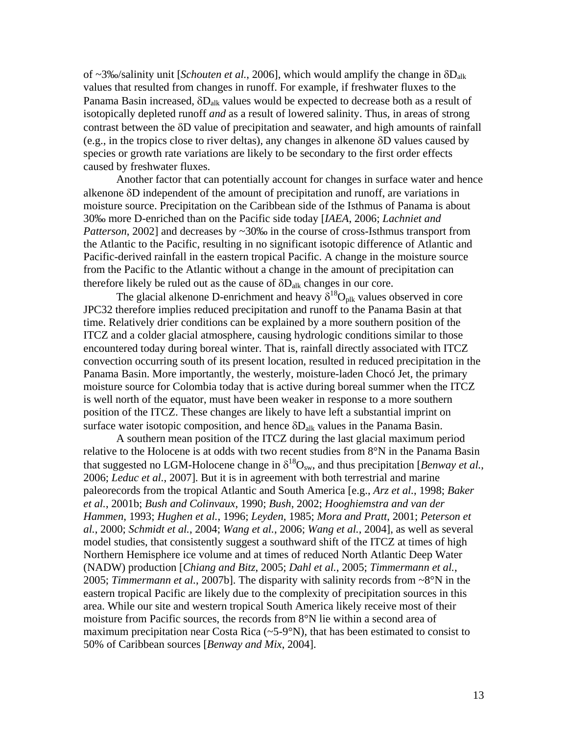of ~3‰/salinity unit [*Schouten et al.*, 2006], which would amplify the change in δDalk values that resulted from changes in runoff. For example, if freshwater fluxes to the Panama Basin increased, δDalk values would be expected to decrease both as a result of isotopically depleted runoff *and* as a result of lowered salinity. Thus, in areas of strong contrast between the δD value of precipitation and seawater, and high amounts of rainfall (e.g., in the tropics close to river deltas), any changes in alkenone δD values caused by species or growth rate variations are likely to be secondary to the first order effects caused by freshwater fluxes.

Another factor that can potentially account for changes in surface water and hence alkenone δD independent of the amount of precipitation and runoff, are variations in moisture source. Precipitation on the Caribbean side of the Isthmus of Panama is about 30‰ more D-enriched than on the Pacific side today [*IAEA*, 2006; *Lachniet and Patterson*, 2002] and decreases by ~30‰ in the course of cross-Isthmus transport from the Atlantic to the Pacific, resulting in no significant isotopic difference of Atlantic and Pacific-derived rainfall in the eastern tropical Pacific. A change in the moisture source from the Pacific to the Atlantic without a change in the amount of precipitation can therefore likely be ruled out as the cause of  $\delta D_{\text{alk}}$  changes in our core.

The glacial alkenone D-enrichment and heavy  $\delta^{18}O_{nlk}$  values observed in core JPC32 therefore implies reduced precipitation and runoff to the Panama Basin at that time. Relatively drier conditions can be explained by a more southern position of the ITCZ and a colder glacial atmosphere, causing hydrologic conditions similar to those encountered today during boreal winter. That is, rainfall directly associated with ITCZ convection occurring south of its present location, resulted in reduced precipitation in the Panama Basin. More importantly, the westerly, moisture-laden Chocó Jet, the primary moisture source for Colombia today that is active during boreal summer when the ITCZ is well north of the equator, must have been weaker in response to a more southern position of the ITCZ. These changes are likely to have left a substantial imprint on surface water isotopic composition, and hence  $\delta D_{\text{alk}}$  values in the Panama Basin.

A southern mean position of the ITCZ during the last glacial maximum period relative to the Holocene is at odds with two recent studies from 8°N in the Panama Basin that suggested no LGM-Holocene change in  $\delta^{18}O_{sw}$ , and thus precipitation [*Benway et al.*, 2006; *Leduc et al.*, 2007]. But it is in agreement with both terrestrial and marine paleorecords from the tropical Atlantic and South America [e.g., *Arz et al.*, 1998; *Baker et al.*, 2001b; *Bush and Colinvaux*, 1990; *Bush*, 2002; *Hooghiemstra and van der Hammen*, 1993; *Hughen et al.*, 1996; *Leyden*, 1985; *Mora and Pratt*, 2001; *Peterson et al.*, 2000; *Schmidt et al.*, 2004; *Wang et al.*, 2006; *Wang et al.*, 2004], as well as several model studies, that consistently suggest a southward shift of the ITCZ at times of high Northern Hemisphere ice volume and at times of reduced North Atlantic Deep Water (NADW) production [*Chiang and Bitz*, 2005; *Dahl et al.*, 2005; *Timmermann et al.*, 2005; *Timmermann et al.*, 2007b]. The disparity with salinity records from ~8°N in the eastern tropical Pacific are likely due to the complexity of precipitation sources in this area. While our site and western tropical South America likely receive most of their moisture from Pacific sources, the records from 8°N lie within a second area of maximum precipitation near Costa Rica (~5-9°N), that has been estimated to consist to 50% of Caribbean sources [*Benway and Mix*, 2004].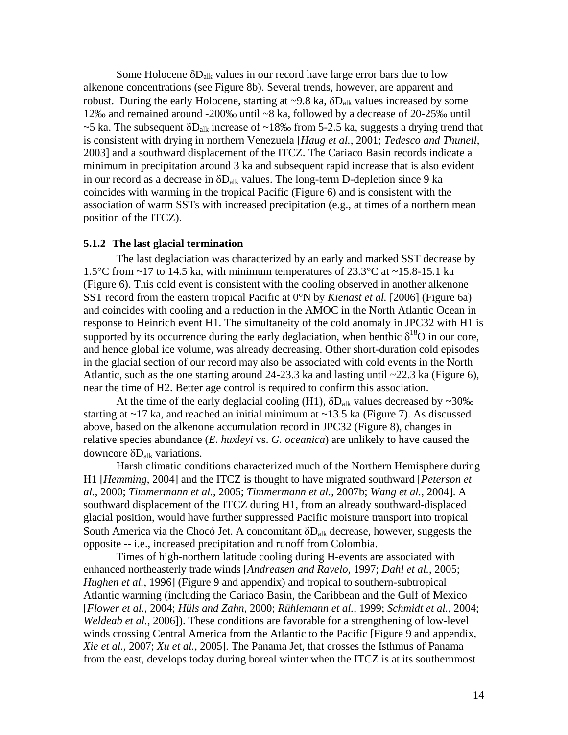Some Holocene  $\delta D_{\text{alk}}$  values in our record have large error bars due to low alkenone concentrations (see Figure 8b). Several trends, however, are apparent and robust. During the early Holocene, starting at  $\sim$ 9.8 ka,  $\delta D_{\text{alk}}$  values increased by some 12‰ and remained around -200‰ until ~8 ka, followed by a decrease of 20-25‰ until  $\sim$ 5 ka. The subsequent  $\delta D_{\text{alk}}$  increase of  $\sim$ 18‰ from 5-2.5 ka, suggests a drying trend that is consistent with drying in northern Venezuela [*Haug et al.*, 2001; *Tedesco and Thunell*, 2003] and a southward displacement of the ITCZ. The Cariaco Basin records indicate a minimum in precipitation around 3 ka and subsequent rapid increase that is also evident in our record as a decrease in  $\delta D_{\text{alk}}$  values. The long-term D-depletion since 9 ka coincides with warming in the tropical Pacific (Figure 6) and is consistent with the association of warm SSTs with increased precipitation (e.g., at times of a northern mean position of the ITCZ).

#### **5.1.2 The last glacial termination**

The last deglaciation was characterized by an early and marked SST decrease by 1.5°C from ~17 to 14.5 ka, with minimum temperatures of 23.3°C at ~15.8-15.1 ka (Figure 6). This cold event is consistent with the cooling observed in another alkenone SST record from the eastern tropical Pacific at 0°N by *Kienast et al.* [2006] (Figure 6a) and coincides with cooling and a reduction in the AMOC in the North Atlantic Ocean in response to Heinrich event H1. The simultaneity of the cold anomaly in JPC32 with H1 is supported by its occurrence during the early deglaciation, when benthic  $\delta^{18}O$  in our core, and hence global ice volume, was already decreasing. Other short-duration cold episodes in the glacial section of our record may also be associated with cold events in the North Atlantic, such as the one starting around 24-23.3 ka and lasting until  $\sim$ 22.3 ka (Figure 6), near the time of H2. Better age control is required to confirm this association.

At the time of the early deglacial cooling (H1),  $\delta D_{\text{alk}}$  values decreased by ~30‰ starting at  $\sim$ 17 ka, and reached an initial minimum at  $\sim$ 13.5 ka (Figure 7). As discussed above, based on the alkenone accumulation record in JPC32 (Figure 8), changes in relative species abundance (*E. huxleyi* vs. *G. oceanica*) are unlikely to have caused the downcore  $δD<sub>alk</sub>$  variations.

Harsh climatic conditions characterized much of the Northern Hemisphere during H1 [*Hemming*, 2004] and the ITCZ is thought to have migrated southward [*Peterson et al.*, 2000; *Timmermann et al.*, 2005; *Timmermann et al.*, 2007b; *Wang et al.*, 2004]. A southward displacement of the ITCZ during H1, from an already southward-displaced glacial position, would have further suppressed Pacific moisture transport into tropical South America via the Chocó Jet. A concomitant  $\delta D_{\text{alk}}$  decrease, however, suggests the opposite -- i.e., increased precipitation and runoff from Colombia.

Times of high-northern latitude cooling during H-events are associated with enhanced northeasterly trade winds [*Andreasen and Ravelo*, 1997; *Dahl et al.*, 2005; *Hughen et al.*, 1996] (Figure 9 and appendix) and tropical to southern-subtropical Atlantic warming (including the Cariaco Basin, the Caribbean and the Gulf of Mexico [*Flower et al.*, 2004; *Hüls and Zahn*, 2000; *Rühlemann et al.*, 1999; *Schmidt et al.*, 2004; *Weldeab et al.*, 2006]). These conditions are favorable for a strengthening of low-level winds crossing Central America from the Atlantic to the Pacific [Figure 9 and appendix, *Xie et al.*, 2007; *Xu et al.*, 2005]. The Panama Jet, that crosses the Isthmus of Panama from the east, develops today during boreal winter when the ITCZ is at its southernmost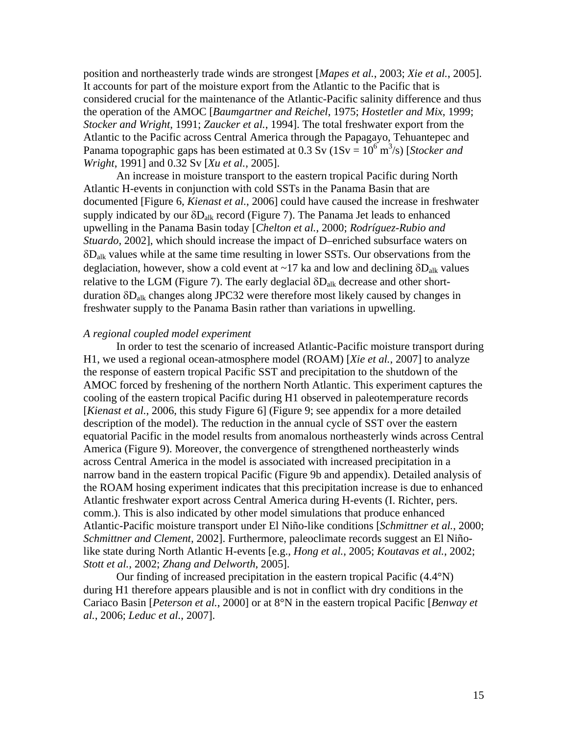position and northeasterly trade winds are strongest [*Mapes et al.*, 2003; *Xie et al.*, 2005]. It accounts for part of the moisture export from the Atlantic to the Pacific that is considered crucial for the maintenance of the Atlantic-Pacific salinity difference and thus the operation of the AMOC [*Baumgartner and Reichel*, 1975; *Hostetler and Mix*, 1999; *Stocker and Wright*, 1991; *Zaucker et al.*, 1994]. The total freshwater export from the Atlantic to the Pacific across Central America through the Papagayo, Tehuantepec and Panama topographic gaps has been estimated at  $0.3 \text{ Sv}$  ( $1 \text{Sv} = 10^6 \text{ m}^3/\text{s}$ ) [*Stocker and Wright*, 1991] and 0.32 Sv [*Xu et al.*, 2005].

An increase in moisture transport to the eastern tropical Pacific during North Atlantic H-events in conjunction with cold SSTs in the Panama Basin that are documented [Figure 6, *Kienast et al.*, 2006] could have caused the increase in freshwater supply indicated by our  $\delta D_{\text{alk}}$  record (Figure 7). The Panama Jet leads to enhanced upwelling in the Panama Basin today [*Chelton et al.*, 2000; *Rodríguez-Rubio and Stuardo*, 2002], which should increase the impact of D–enriched subsurface waters on δDalk values while at the same time resulting in lower SSTs. Our observations from the deglaciation, however, show a cold event at ~17 ka and low and declining  $\delta D_{\text{alk}}$  values relative to the LGM (Figure 7). The early deglacial  $\delta D_{\text{alk}}$  decrease and other shortduration δDalk changes along JPC32 were therefore most likely caused by changes in freshwater supply to the Panama Basin rather than variations in upwelling.

## *A regional coupled model experiment*

In order to test the scenario of increased Atlantic-Pacific moisture transport during H1, we used a regional ocean-atmosphere model (ROAM) [*Xie et al.*, 2007] to analyze the response of eastern tropical Pacific SST and precipitation to the shutdown of the AMOC forced by freshening of the northern North Atlantic. This experiment captures the cooling of the eastern tropical Pacific during H1 observed in paleotemperature records [*Kienast et al.*, 2006, this study Figure 6] (Figure 9; see appendix for a more detailed description of the model). The reduction in the annual cycle of SST over the eastern equatorial Pacific in the model results from anomalous northeasterly winds across Central America (Figure 9). Moreover, the convergence of strengthened northeasterly winds across Central America in the model is associated with increased precipitation in a narrow band in the eastern tropical Pacific (Figure 9b and appendix). Detailed analysis of the ROAM hosing experiment indicates that this precipitation increase is due to enhanced Atlantic freshwater export across Central America during H-events (I. Richter, pers. comm.). This is also indicated by other model simulations that produce enhanced Atlantic-Pacific moisture transport under El Niño-like conditions [*Schmittner et al.*, 2000; *Schmittner and Clement*, 2002]. Furthermore, paleoclimate records suggest an El Niñolike state during North Atlantic H-events [e.g., *Hong et al.*, 2005; *Koutavas et al.*, 2002; *Stott et al.*, 2002; *Zhang and Delworth*, 2005].

Our finding of increased precipitation in the eastern tropical Pacific (4.4°N) during H1 therefore appears plausible and is not in conflict with dry conditions in the Cariaco Basin [*Peterson et al.*, 2000] or at 8°N in the eastern tropical Pacific [*Benway et al.*, 2006; *Leduc et al.*, 2007].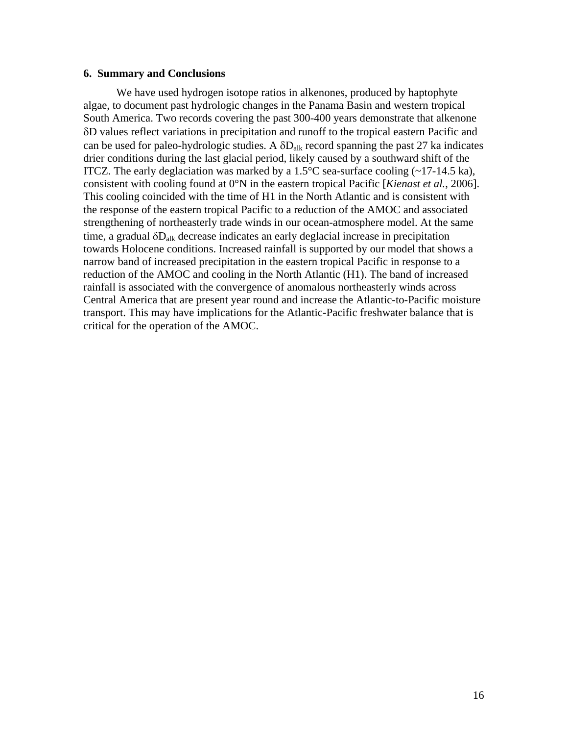#### **6. Summary and Conclusions**

We have used hydrogen isotope ratios in alkenones, produced by haptophyte algae, to document past hydrologic changes in the Panama Basin and western tropical South America. Two records covering the past 300-400 years demonstrate that alkenone δD values reflect variations in precipitation and runoff to the tropical eastern Pacific and can be used for paleo-hydrologic studies. A  $\delta D_{\text{alk}}$  record spanning the past 27 ka indicates drier conditions during the last glacial period, likely caused by a southward shift of the ITCZ. The early deglaciation was marked by a  $1.5^{\circ}$ C sea-surface cooling (~17-14.5 ka), consistent with cooling found at 0°N in the eastern tropical Pacific [*Kienast et al.*, 2006]. This cooling coincided with the time of H1 in the North Atlantic and is consistent with the response of the eastern tropical Pacific to a reduction of the AMOC and associated strengthening of northeasterly trade winds in our ocean-atmosphere model. At the same time, a gradual  $\delta D_{\text{alk}}$  decrease indicates an early deglacial increase in precipitation towards Holocene conditions. Increased rainfall is supported by our model that shows a narrow band of increased precipitation in the eastern tropical Pacific in response to a reduction of the AMOC and cooling in the North Atlantic (H1). The band of increased rainfall is associated with the convergence of anomalous northeasterly winds across Central America that are present year round and increase the Atlantic-to-Pacific moisture transport. This may have implications for the Atlantic-Pacific freshwater balance that is critical for the operation of the AMOC.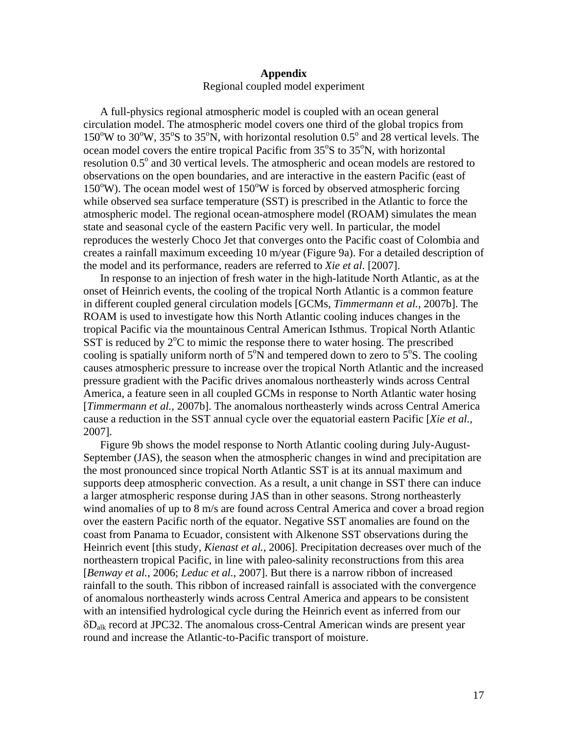## **Appendix**  Regional coupled model experiment

A full-physics regional atmospheric model is coupled with an ocean general circulation model. The atmospheric model covers one third of the global tropics from  $150^{\circ}$ W to  $30^{\circ}$ W,  $35^{\circ}$ S to  $35^{\circ}$ N, with horizontal resolution 0.5° and 28 vertical levels. The ocean model covers the entire tropical Pacific from 35°S to 35°N, with horizontal resolution 0.5<sup>°</sup> and 30 vertical levels. The atmospheric and ocean models are restored to observations on the open boundaries, and are interactive in the eastern Pacific (east of 150°W). The ocean model west of 150°W is forced by observed atmospheric forcing while observed sea surface temperature (SST) is prescribed in the Atlantic to force the atmospheric model. The regional ocean-atmosphere model (ROAM) simulates the mean state and seasonal cycle of the eastern Pacific very well. In particular, the model reproduces the westerly Choco Jet that converges onto the Pacific coast of Colombia and creates a rainfall maximum exceeding 10 m/year (Figure 9a). For a detailed description of the model and its performance, readers are referred to *Xie et al*. [2007].

In response to an injection of fresh water in the high-latitude North Atlantic, as at the onset of Heinrich events, the cooling of the tropical North Atlantic is a common feature in different coupled general circulation models [GCMs, *Timmermann et al.*, 2007b]. The ROAM is used to investigate how this North Atlantic cooling induces changes in the tropical Pacific via the mountainous Central American Isthmus. Tropical North Atlantic SST is reduced by  $2^{\circ}C$  to mimic the response there to water hosing. The prescribed cooling is spatially uniform north of  $5^\circ N$  and tempered down to zero to  $5^\circ S$ . The cooling causes atmospheric pressure to increase over the tropical North Atlantic and the increased pressure gradient with the Pacific drives anomalous northeasterly winds across Central America, a feature seen in all coupled GCMs in response to North Atlantic water hosing [*Timmermann et al.*, 2007b]. The anomalous northeasterly winds across Central America cause a reduction in the SST annual cycle over the equatorial eastern Pacific [*Xie et al.*, 2007].

Figure 9b shows the model response to North Atlantic cooling during July-August-September (JAS), the season when the atmospheric changes in wind and precipitation are the most pronounced since tropical North Atlantic SST is at its annual maximum and supports deep atmospheric convection. As a result, a unit change in SST there can induce a larger atmospheric response during JAS than in other seasons. Strong northeasterly wind anomalies of up to 8 m/s are found across Central America and cover a broad region over the eastern Pacific north of the equator. Negative SST anomalies are found on the coast from Panama to Ecuador, consistent with Alkenone SST observations during the Heinrich event [this study, *Kienast et al.*, 2006]. Precipitation decreases over much of the northeastern tropical Pacific, in line with paleo-salinity reconstructions from this area [*Benway et al.*, 2006; *Leduc et al.*, 2007]. But there is a narrow ribbon of increased rainfall to the south. This ribbon of increased rainfall is associated with the convergence of anomalous northeasterly winds across Central America and appears to be consistent with an intensified hydrological cycle during the Heinrich event as inferred from our δDalk record at JPC32. The anomalous cross-Central American winds are present year round and increase the Atlantic-to-Pacific transport of moisture.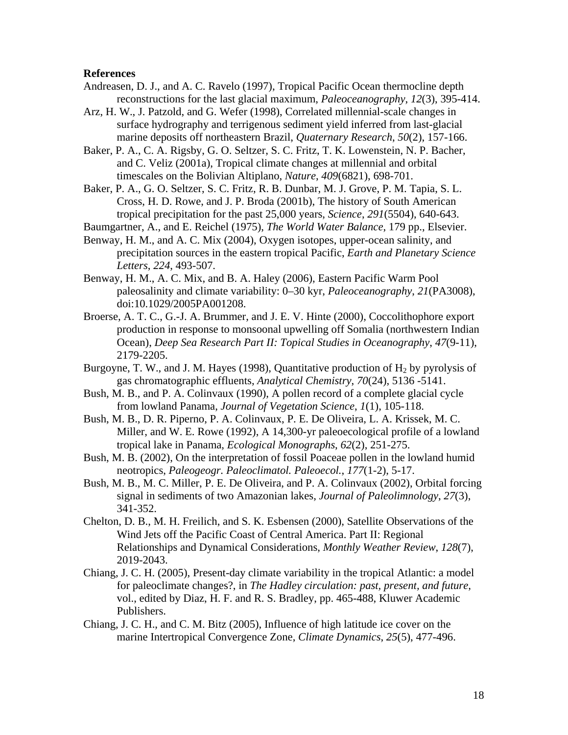#### **References**

- Andreasen, D. J., and A. C. Ravelo (1997), Tropical Pacific Ocean thermocline depth reconstructions for the last glacial maximum, *Paleoceanography*, *12*(3), 395-414.
- Arz, H. W., J. Patzold, and G. Wefer (1998), Correlated millennial-scale changes in surface hydrography and terrigenous sediment yield inferred from last-glacial marine deposits off northeastern Brazil, *Quaternary Research*, *50*(2), 157-166.
- Baker, P. A., C. A. Rigsby, G. O. Seltzer, S. C. Fritz, T. K. Lowenstein, N. P. Bacher, and C. Veliz (2001a), Tropical climate changes at millennial and orbital timescales on the Bolivian Altiplano, *Nature*, *409*(6821), 698-701.
- Baker, P. A., G. O. Seltzer, S. C. Fritz, R. B. Dunbar, M. J. Grove, P. M. Tapia, S. L. Cross, H. D. Rowe, and J. P. Broda (2001b), The history of South American tropical precipitation for the past 25,000 years, *Science*, *291*(5504), 640-643.

Baumgartner, A., and E. Reichel (1975), *The World Water Balance*, 179 pp., Elsevier.

- Benway, H. M., and A. C. Mix (2004), Oxygen isotopes, upper-ocean salinity, and precipitation sources in the eastern tropical Pacific, *Earth and Planetary Science Letters*, *224*, 493-507.
- Benway, H. M., A. C. Mix, and B. A. Haley (2006), Eastern Pacific Warm Pool paleosalinity and climate variability: 0–30 kyr, *Paleoceanography*, *21*(PA3008), doi:10.1029/2005PA001208.
- Broerse, A. T. C., G.-J. A. Brummer, and J. E. V. Hinte (2000), Coccolithophore export production in response to monsoonal upwelling off Somalia (northwestern Indian Ocean), *Deep Sea Research Part II: Topical Studies in Oceanography*, *47*(9-11), 2179-2205.
- Burgoyne, T. W., and J. M. Hayes (1998), Quantitative production of  $H_2$  by pyrolysis of gas chromatographic effluents, *Analytical Chemistry*, *70*(24), 5136 -5141.
- Bush, M. B., and P. A. Colinvaux (1990), A pollen record of a complete glacial cycle from lowland Panama, *Journal of Vegetation Science*, *1*(1), 105-118.
- Bush, M. B., D. R. Piperno, P. A. Colinvaux, P. E. De Oliveira, L. A. Krissek, M. C. Miller, and W. E. Rowe (1992), A 14,300-yr paleoecological profile of a lowland tropical lake in Panama, *Ecological Monographs*, *62*(2), 251-275.
- Bush, M. B. (2002), On the interpretation of fossil Poaceae pollen in the lowland humid neotropics, *Paleogeogr. Paleoclimatol. Paleoecol.*, *177*(1-2), 5-17.
- Bush, M. B., M. C. Miller, P. E. De Oliveira, and P. A. Colinvaux (2002), Orbital forcing signal in sediments of two Amazonian lakes, *Journal of Paleolimnology*, *27*(3), 341-352.
- Chelton, D. B., M. H. Freilich, and S. K. Esbensen (2000), Satellite Observations of the Wind Jets off the Pacific Coast of Central America. Part II: Regional Relationships and Dynamical Considerations, *Monthly Weather Review*, *128*(7), 2019-2043.
- Chiang, J. C. H. (2005), Present-day climate variability in the tropical Atlantic: a model for paleoclimate changes?, in *The Hadley circulation: past, present, and future*, vol., edited by Diaz, H. F. and R. S. Bradley, pp. 465-488, Kluwer Academic Publishers.
- Chiang, J. C. H., and C. M. Bitz (2005), Influence of high latitude ice cover on the marine Intertropical Convergence Zone, *Climate Dynamics*, *25*(5), 477-496.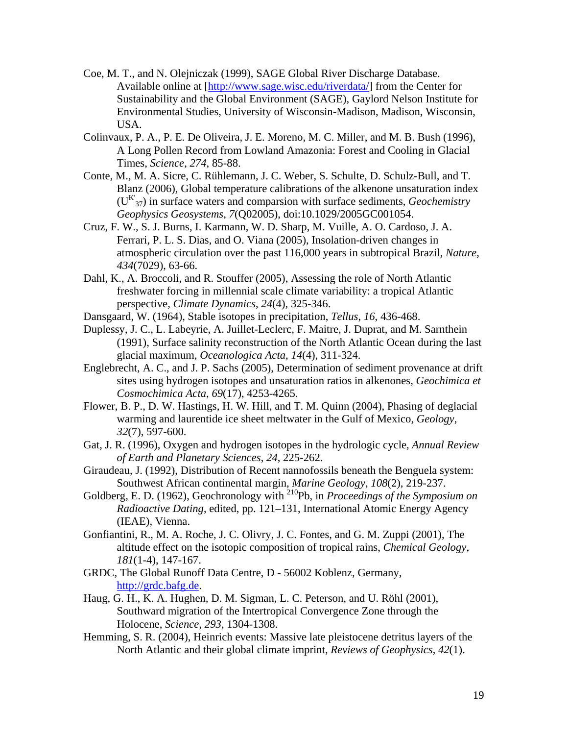- Coe, M. T., and N. Olejniczak (1999), SAGE Global River Discharge Database. Available online at [http://www.sage.wisc.edu/riverdata/] from the Center for Sustainability and the Global Environment (SAGE), Gaylord Nelson Institute for Environmental Studies, University of Wisconsin-Madison, Madison, Wisconsin, USA.
- Colinvaux, P. A., P. E. De Oliveira, J. E. Moreno, M. C. Miller, and M. B. Bush (1996), A Long Pollen Record from Lowland Amazonia: Forest and Cooling in Glacial Times, *Science*, *274*, 85-88.
- Conte, M., M. A. Sicre, C. Rühlemann, J. C. Weber, S. Schulte, D. Schulz-Bull, and T. Blanz (2006), Global temperature calibrations of the alkenone unsaturation index (UK' 37) in surface waters and comparsion with surface sediments, *Geochemistry Geophysics Geosystems*, *7*(Q02005), doi:10.1029/2005GC001054.
- Cruz, F. W., S. J. Burns, I. Karmann, W. D. Sharp, M. Vuille, A. O. Cardoso, J. A. Ferrari, P. L. S. Dias, and O. Viana (2005), Insolation-driven changes in atmospheric circulation over the past 116,000 years in subtropical Brazil, *Nature*, *434*(7029), 63-66.
- Dahl, K., A. Broccoli, and R. Stouffer (2005), Assessing the role of North Atlantic freshwater forcing in millennial scale climate variability: a tropical Atlantic perspective, *Climate Dynamics*, *24*(4), 325-346.
- Dansgaard, W. (1964), Stable isotopes in precipitation, *Tellus*, *16*, 436-468.
- Duplessy, J. C., L. Labeyrie, A. Juillet-Leclerc, F. Maitre, J. Duprat, and M. Sarnthein (1991), Surface salinity reconstruction of the North Atlantic Ocean during the last glacial maximum, *Oceanologica Acta*, *14*(4), 311-324.
- Englebrecht, A. C., and J. P. Sachs (2005), Determination of sediment provenance at drift sites using hydrogen isotopes and unsaturation ratios in alkenones, *Geochimica et Cosmochimica Acta*, *69*(17), 4253-4265.
- Flower, B. P., D. W. Hastings, H. W. Hill, and T. M. Quinn (2004), Phasing of deglacial warming and laurentide ice sheet meltwater in the Gulf of Mexico, *Geology*, *32*(7), 597-600.
- Gat, J. R. (1996), Oxygen and hydrogen isotopes in the hydrologic cycle, *Annual Review of Earth and Planetary Sciences*, *24*, 225-262.
- Giraudeau, J. (1992), Distribution of Recent nannofossils beneath the Benguela system: Southwest African continental margin, *Marine Geology*, *108*(2), 219-237.
- Goldberg, E. D. (1962), Geochronology with <sup>210</sup>Pb, in *Proceedings of the Symposium on Radioactive Dating*, edited, pp. 121–131, International Atomic Energy Agency (IEAE), Vienna.
- Gonfiantini, R., M. A. Roche, J. C. Olivry, J. C. Fontes, and G. M. Zuppi (2001), The altitude effect on the isotopic composition of tropical rains, *Chemical Geology*, *181*(1-4), 147-167.
- GRDC, The Global Runoff Data Centre, D 56002 Koblenz, Germany, http://grdc.bafg.de.
- Haug, G. H., K. A. Hughen, D. M. Sigman, L. C. Peterson, and U. Röhl (2001), Southward migration of the Intertropical Convergence Zone through the Holocene, *Science*, *293*, 1304-1308.
- Hemming, S. R. (2004), Heinrich events: Massive late pleistocene detritus layers of the North Atlantic and their global climate imprint, *Reviews of Geophysics*, *42*(1).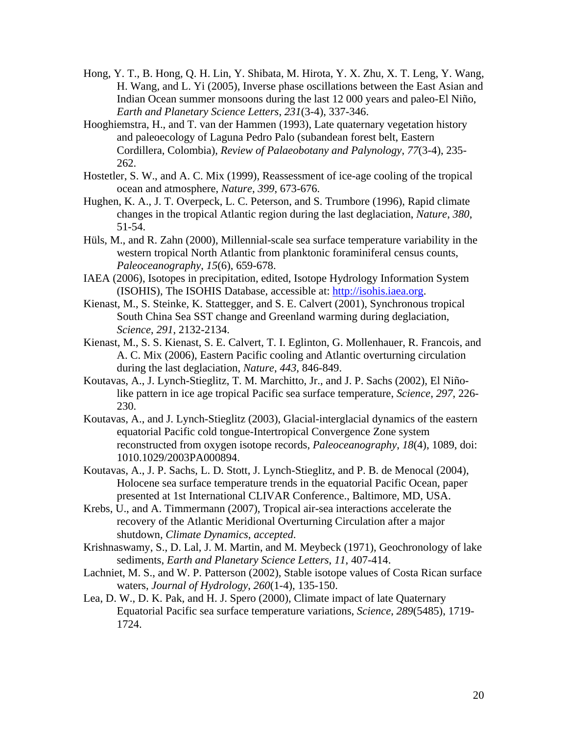- Hong, Y. T., B. Hong, Q. H. Lin, Y. Shibata, M. Hirota, Y. X. Zhu, X. T. Leng, Y. Wang, H. Wang, and L. Yi (2005), Inverse phase oscillations between the East Asian and Indian Ocean summer monsoons during the last 12 000 years and paleo-El Niño, *Earth and Planetary Science Letters*, *231*(3-4), 337-346.
- Hooghiemstra, H., and T. van der Hammen (1993), Late quaternary vegetation history and paleoecology of Laguna Pedro Palo (subandean forest belt, Eastern Cordillera, Colombia), *Review of Palaeobotany and Palynology*, *77*(3-4), 235- 262.
- Hostetler, S. W., and A. C. Mix (1999), Reassessment of ice-age cooling of the tropical ocean and atmosphere, *Nature*, *399*, 673-676.
- Hughen, K. A., J. T. Overpeck, L. C. Peterson, and S. Trumbore (1996), Rapid climate changes in the tropical Atlantic region during the last deglaciation, *Nature*, *380*, 51-54.
- Hüls, M., and R. Zahn (2000), Millennial-scale sea surface temperature variability in the western tropical North Atlantic from planktonic foraminiferal census counts, *Paleoceanography*, *15*(6), 659-678.
- IAEA (2006), Isotopes in precipitation, edited, Isotope Hydrology Information System (ISOHIS), The ISOHIS Database, accessible at: http://isohis.iaea.org.
- Kienast, M., S. Steinke, K. Stattegger, and S. E. Calvert (2001), Synchronous tropical South China Sea SST change and Greenland warming during deglaciation, *Science*, *291*, 2132-2134.
- Kienast, M., S. S. Kienast, S. E. Calvert, T. I. Eglinton, G. Mollenhauer, R. Francois, and A. C. Mix (2006), Eastern Pacific cooling and Atlantic overturning circulation during the last deglaciation, *Nature*, *443*, 846-849.
- Koutavas, A., J. Lynch-Stieglitz, T. M. Marchitto, Jr., and J. P. Sachs (2002), El Niñolike pattern in ice age tropical Pacific sea surface temperature, *Science*, *297*, 226- 230.
- Koutavas, A., and J. Lynch-Stieglitz (2003), Glacial-interglacial dynamics of the eastern equatorial Pacific cold tongue-Intertropical Convergence Zone system reconstructed from oxygen isotope records, *Paleoceanography*, *18*(4), 1089, doi: 1010.1029/2003PA000894.
- Koutavas, A., J. P. Sachs, L. D. Stott, J. Lynch-Stieglitz, and P. B. de Menocal (2004), Holocene sea surface temperature trends in the equatorial Pacific Ocean, paper presented at 1st International CLIVAR Conference., Baltimore, MD, USA.
- Krebs, U., and A. Timmermann (2007), Tropical air-sea interactions accelerate the recovery of the Atlantic Meridional Overturning Circulation after a major shutdown, *Climate Dynamics*, *accepted*.
- Krishnaswamy, S., D. Lal, J. M. Martin, and M. Meybeck (1971), Geochronology of lake sediments, *Earth and Planetary Science Letters*, *11*, 407-414.
- Lachniet, M. S., and W. P. Patterson (2002), Stable isotope values of Costa Rican surface waters, *Journal of Hydrology*, *260*(1-4), 135-150.
- Lea, D. W., D. K. Pak, and H. J. Spero (2000), Climate impact of late Quaternary Equatorial Pacific sea surface temperature variations, *Science*, *289*(5485), 1719- 1724.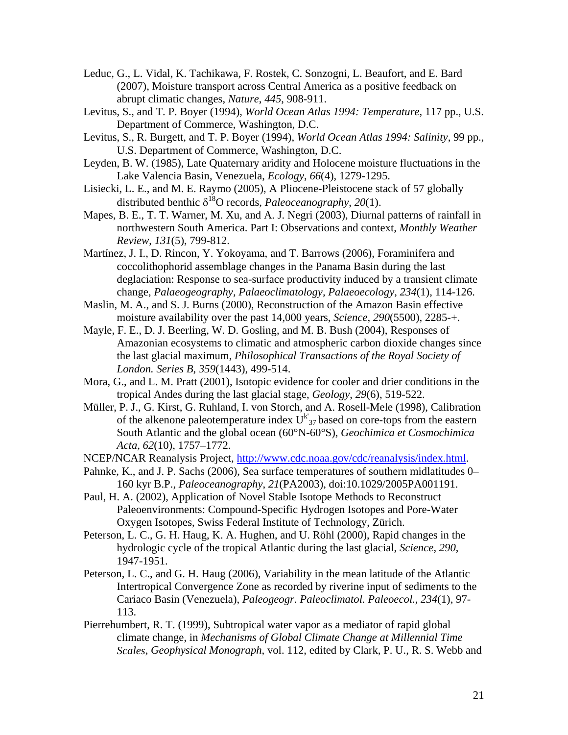- Leduc, G., L. Vidal, K. Tachikawa, F. Rostek, C. Sonzogni, L. Beaufort, and E. Bard (2007), Moisture transport across Central America as a positive feedback on abrupt climatic changes, *Nature*, *445*, 908-911.
- Levitus, S., and T. P. Boyer (1994), *World Ocean Atlas 1994: Temperature*, 117 pp., U.S. Department of Commerce, Washington, D.C.
- Levitus, S., R. Burgett, and T. P. Boyer (1994), *World Ocean Atlas 1994: Salinity*, 99 pp., U.S. Department of Commerce, Washington, D.C.
- Leyden, B. W. (1985), Late Quaternary aridity and Holocene moisture fluctuations in the Lake Valencia Basin, Venezuela, *Ecology*, *66*(4), 1279-1295.
- Lisiecki, L. E., and M. E. Raymo (2005), A Pliocene-Pleistocene stack of 57 globally distributed benthic  $\delta^{18}$ O records, *Paleoceanography*, 20(1).
- Mapes, B. E., T. T. Warner, M. Xu, and A. J. Negri (2003), Diurnal patterns of rainfall in northwestern South America. Part I: Observations and context, *Monthly Weather Review*, *131*(5), 799-812.
- Martínez, J. I., D. Rincon, Y. Yokoyama, and T. Barrows (2006), Foraminifera and coccolithophorid assemblage changes in the Panama Basin during the last deglaciation: Response to sea-surface productivity induced by a transient climate change, *Palaeogeography, Palaeoclimatology, Palaeoecology*, *234*(1), 114-126.
- Maslin, M. A., and S. J. Burns (2000), Reconstruction of the Amazon Basin effective moisture availability over the past 14,000 years, *Science*, *290*(5500), 2285-+.
- Mayle, F. E., D. J. Beerling, W. D. Gosling, and M. B. Bush (2004), Responses of Amazonian ecosystems to climatic and atmospheric carbon dioxide changes since the last glacial maximum, *Philosophical Transactions of the Royal Society of London. Series B*, *359*(1443), 499-514.
- Mora, G., and L. M. Pratt (2001), Isotopic evidence for cooler and drier conditions in the tropical Andes during the last glacial stage, *Geology*, *29*(6), 519-522.
- Müller, P. J., G. Kirst, G. Ruhland, I. von Storch, and A. Rosell-Mele (1998), Calibration of the alkenone paleotemperature index  $U^{k'}_{37}$  based on core-tops from the eastern South Atlantic and the global ocean (60°N-60°S), *Geochimica et Cosmochimica Acta*, *62*(10), 1757–1772.
- NCEP/NCAR Reanalysis Project, http://www.cdc.noaa.gov/cdc/reanalysis/index.html.
- Pahnke, K., and J. P. Sachs (2006), Sea surface temperatures of southern midlatitudes 0– 160 kyr B.P., *Paleoceanography*, *21*(PA2003), doi:10.1029/2005PA001191.
- Paul, H. A. (2002), Application of Novel Stable Isotope Methods to Reconstruct Paleoenvironments: Compound-Specific Hydrogen Isotopes and Pore-Water Oxygen Isotopes, Swiss Federal Institute of Technology, Zürich.
- Peterson, L. C., G. H. Haug, K. A. Hughen, and U. Röhl (2000), Rapid changes in the hydrologic cycle of the tropical Atlantic during the last glacial, *Science*, *290*, 1947-1951.
- Peterson, L. C., and G. H. Haug (2006), Variability in the mean latitude of the Atlantic Intertropical Convergence Zone as recorded by riverine input of sediments to the Cariaco Basin (Venezuela), *Paleogeogr. Paleoclimatol. Paleoecol.*, *234*(1), 97- 113.
- Pierrehumbert, R. T. (1999), Subtropical water vapor as a mediator of rapid global climate change, in *Mechanisms of Global Climate Change at Millennial Time Scales*, *Geophysical Monograph*, vol. 112, edited by Clark, P. U., R. S. Webb and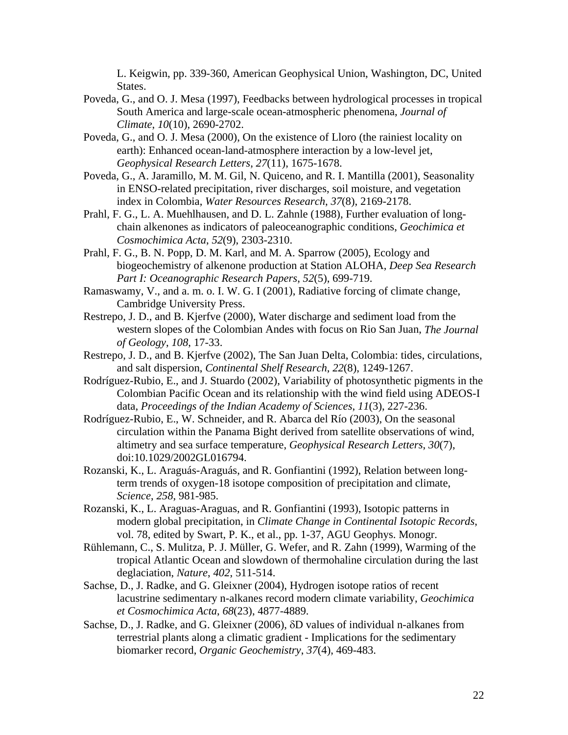L. Keigwin, pp. 339-360, American Geophysical Union, Washington, DC, United States.

- Poveda, G., and O. J. Mesa (1997), Feedbacks between hydrological processes in tropical South America and large-scale ocean-atmospheric phenomena, *Journal of Climate*, *10*(10), 2690-2702.
- Poveda, G., and O. J. Mesa (2000), On the existence of Lloro (the rainiest locality on earth): Enhanced ocean-land-atmosphere interaction by a low-level jet, *Geophysical Research Letters*, *27*(11), 1675-1678.
- Poveda, G., A. Jaramillo, M. M. Gil, N. Quiceno, and R. I. Mantilla (2001), Seasonality in ENSO-related precipitation, river discharges, soil moisture, and vegetation index in Colombia, *Water Resources Research*, *37*(8), 2169-2178.
- Prahl, F. G., L. A. Muehlhausen, and D. L. Zahnle (1988), Further evaluation of longchain alkenones as indicators of paleoceanographic conditions, *Geochimica et Cosmochimica Acta*, *52*(9), 2303-2310.
- Prahl, F. G., B. N. Popp, D. M. Karl, and M. A. Sparrow (2005), Ecology and biogeochemistry of alkenone production at Station ALOHA, *Deep Sea Research Part I: Oceanographic Research Papers*, *52*(5), 699-719.
- Ramaswamy, V., and a. m. o. I. W. G. I (2001), Radiative forcing of climate change, Cambridge University Press.
- Restrepo, J. D., and B. Kjerfve (2000), Water discharge and sediment load from the western slopes of the Colombian Andes with focus on Rio San Juan, *The Journal of Geology*, *108*, 17-33.
- Restrepo, J. D., and B. Kjerfve (2002), The San Juan Delta, Colombia: tides, circulations, and salt dispersion, *Continental Shelf Research*, *22*(8), 1249-1267.
- Rodríguez-Rubio, E., and J. Stuardo (2002), Variability of photosynthetic pigments in the Colombian Pacific Ocean and its relationship with the wind field using ADEOS-I data, *Proceedings of the Indian Academy of Sciences*, *11*(3), 227-236.
- Rodríguez-Rubio, E., W. Schneider, and R. Abarca del Río (2003), On the seasonal circulation within the Panama Bight derived from satellite observations of wind, altimetry and sea surface temperature, *Geophysical Research Letters*, *30*(7), doi:10.1029/2002GL016794.
- Rozanski, K., L. Araguás-Araguás, and R. Gonfiantini (1992), Relation between longterm trends of oxygen-18 isotope composition of precipitation and climate, *Science*, *258*, 981-985.
- Rozanski, K., L. Araguas-Araguas, and R. Gonfiantini (1993), Isotopic patterns in modern global precipitation, in *Climate Change in Continental Isotopic Records*, vol. 78, edited by Swart, P. K., et al., pp. 1-37, AGU Geophys. Monogr.
- Rühlemann, C., S. Mulitza, P. J. Müller, G. Wefer, and R. Zahn (1999), Warming of the tropical Atlantic Ocean and slowdown of thermohaline circulation during the last deglaciation, *Nature*, *402*, 511-514.
- Sachse, D., J. Radke, and G. Gleixner (2004), Hydrogen isotope ratios of recent lacustrine sedimentary n-alkanes record modern climate variability, *Geochimica et Cosmochimica Acta*, *68*(23), 4877-4889.
- Sachse, D., J. Radke, and G. Gleixner (2006), δD values of individual n-alkanes from terrestrial plants along a climatic gradient - Implications for the sedimentary biomarker record, *Organic Geochemistry*, *37*(4), 469-483.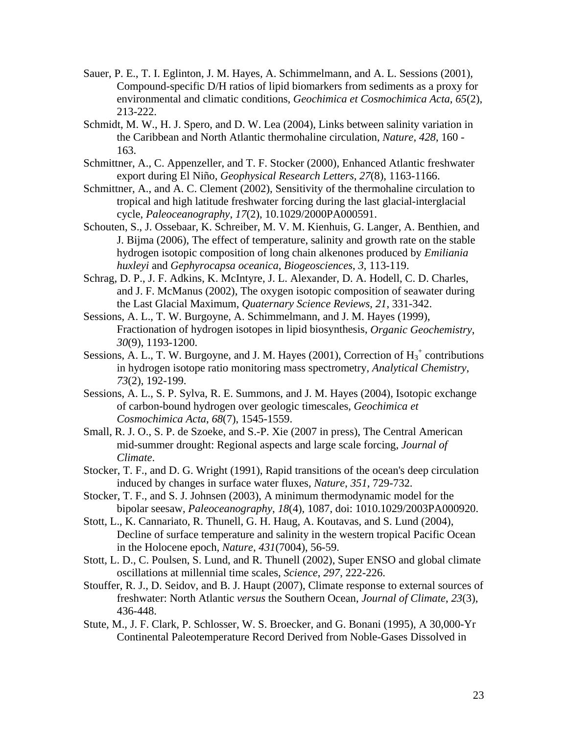- Sauer, P. E., T. I. Eglinton, J. M. Hayes, A. Schimmelmann, and A. L. Sessions (2001), Compound-specific D/H ratios of lipid biomarkers from sediments as a proxy for environmental and climatic conditions, *Geochimica et Cosmochimica Acta*, *65*(2), 213-222.
- Schmidt, M. W., H. J. Spero, and D. W. Lea (2004), Links between salinity variation in the Caribbean and North Atlantic thermohaline circulation, *Nature*, *428*, 160 - 163.
- Schmittner, A., C. Appenzeller, and T. F. Stocker (2000), Enhanced Atlantic freshwater export during El Niño, *Geophysical Research Letters*, *27*(8), 1163-1166.
- Schmittner, A., and A. C. Clement (2002), Sensitivity of the thermohaline circulation to tropical and high latitude freshwater forcing during the last glacial-interglacial cycle, *Paleoceanography*, *17*(2), 10.1029/2000PA000591.
- Schouten, S., J. Ossebaar, K. Schreiber, M. V. M. Kienhuis, G. Langer, A. Benthien, and J. Bijma (2006), The effect of temperature, salinity and growth rate on the stable hydrogen isotopic composition of long chain alkenones produced by *Emiliania huxleyi* and *Gephyrocapsa oceanica*, *Biogeosciences*, *3*, 113-119.
- Schrag, D. P., J. F. Adkins, K. McIntyre, J. L. Alexander, D. A. Hodell, C. D. Charles, and J. F. McManus (2002), The oxygen isotopic composition of seawater during the Last Glacial Maximum, *Quaternary Science Reviews*, *21*, 331-342.
- Sessions, A. L., T. W. Burgoyne, A. Schimmelmann, and J. M. Hayes (1999), Fractionation of hydrogen isotopes in lipid biosynthesis, *Organic Geochemistry*, *30*(9), 1193-1200.
- Sessions, A. L., T. W. Burgoyne, and J. M. Hayes (2001), Correction of  $H_3^+$  contributions in hydrogen isotope ratio monitoring mass spectrometry, *Analytical Chemistry*, *73*(2), 192-199.
- Sessions, A. L., S. P. Sylva, R. E. Summons, and J. M. Hayes (2004), Isotopic exchange of carbon-bound hydrogen over geologic timescales, *Geochimica et Cosmochimica Acta*, *68*(7), 1545-1559.
- Small, R. J. O., S. P. de Szoeke, and S.-P. Xie (2007 in press), The Central American mid-summer drought: Regional aspects and large scale forcing, *Journal of Climate*.
- Stocker, T. F., and D. G. Wright (1991), Rapid transitions of the ocean's deep circulation induced by changes in surface water fluxes, *Nature*, *351*, 729-732.
- Stocker, T. F., and S. J. Johnsen (2003), A minimum thermodynamic model for the bipolar seesaw, *Paleoceanography*, *18*(4), 1087, doi: 1010.1029/2003PA000920.
- Stott, L., K. Cannariato, R. Thunell, G. H. Haug, A. Koutavas, and S. Lund (2004), Decline of surface temperature and salinity in the western tropical Pacific Ocean in the Holocene epoch, *Nature*, *431*(7004), 56-59.
- Stott, L. D., C. Poulsen, S. Lund, and R. Thunell (2002), Super ENSO and global climate oscillations at millennial time scales, *Science*, *297*, 222-226.
- Stouffer, R. J., D. Seidov, and B. J. Haupt (2007), Climate response to external sources of freshwater: North Atlantic *versus* the Southern Ocean, *Journal of Climate*, *23*(3), 436-448.
- Stute, M., J. F. Clark, P. Schlosser, W. S. Broecker, and G. Bonani (1995), A 30,000-Yr Continental Paleotemperature Record Derived from Noble-Gases Dissolved in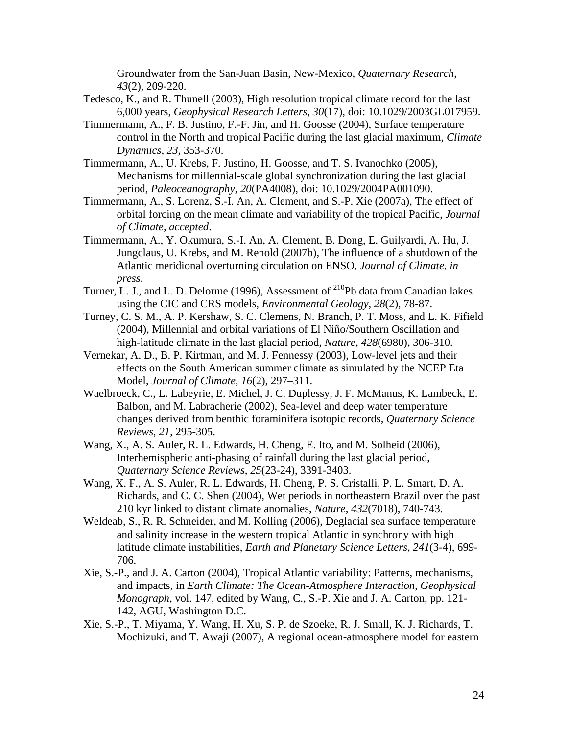Groundwater from the San-Juan Basin, New-Mexico, *Quaternary Research*, *43*(2), 209-220.

- Tedesco, K., and R. Thunell (2003), High resolution tropical climate record for the last 6,000 years, *Geophysical Research Letters*, *30*(17), doi: 10.1029/2003GL017959.
- Timmermann, A., F. B. Justino, F.-F. Jin, and H. Goosse (2004), Surface temperature control in the North and tropical Pacific during the last glacial maximum, *Climate Dynamics*, *23*, 353-370.
- Timmermann, A., U. Krebs, F. Justino, H. Goosse, and T. S. Ivanochko (2005), Mechanisms for millennial-scale global synchronization during the last glacial period, *Paleoceanography*, *20*(PA4008), doi: 10.1029/2004PA001090.
- Timmermann, A., S. Lorenz, S.-I. An, A. Clement, and S.-P. Xie (2007a), The effect of orbital forcing on the mean climate and variability of the tropical Pacific, *Journal of Climate*, *accepted*.
- Timmermann, A., Y. Okumura, S.-I. An, A. Clement, B. Dong, E. Guilyardi, A. Hu, J. Jungclaus, U. Krebs, and M. Renold (2007b), The influence of a shutdown of the Atlantic meridional overturning circulation on ENSO, *Journal of Climate*, *in press*.
- Turner, L. J., and L. D. Delorme (1996), Assessment of <sup>210</sup>Pb data from Canadian lakes using the CIC and CRS models, *Environmental Geology*, *28*(2), 78-87.
- Turney, C. S. M., A. P. Kershaw, S. C. Clemens, N. Branch, P. T. Moss, and L. K. Fifield (2004), Millennial and orbital variations of El Niño/Southern Oscillation and high-latitude climate in the last glacial period, *Nature*, *428*(6980), 306-310.
- Vernekar, A. D., B. P. Kirtman, and M. J. Fennessy (2003), Low-level jets and their effects on the South American summer climate as simulated by the NCEP Eta Model, *Journal of Climate*, *16*(2), 297–311.
- Waelbroeck, C., L. Labeyrie, E. Michel, J. C. Duplessy, J. F. McManus, K. Lambeck, E. Balbon, and M. Labracherie (2002), Sea-level and deep water temperature changes derived from benthic foraminifera isotopic records, *Quaternary Science Reviews*, *21*, 295-305.
- Wang, X., A. S. Auler, R. L. Edwards, H. Cheng, E. Ito, and M. Solheid (2006), Interhemispheric anti-phasing of rainfall during the last glacial period, *Quaternary Science Reviews*, *25*(23-24), 3391-3403.
- Wang, X. F., A. S. Auler, R. L. Edwards, H. Cheng, P. S. Cristalli, P. L. Smart, D. A. Richards, and C. C. Shen (2004), Wet periods in northeastern Brazil over the past 210 kyr linked to distant climate anomalies, *Nature*, *432*(7018), 740-743.
- Weldeab, S., R. R. Schneider, and M. Kolling (2006), Deglacial sea surface temperature and salinity increase in the western tropical Atlantic in synchrony with high latitude climate instabilities, *Earth and Planetary Science Letters*, *241*(3-4), 699- 706.
- Xie, S.-P., and J. A. Carton (2004), Tropical Atlantic variability: Patterns, mechanisms, and impacts, in *Earth Climate: The Ocean-Atmosphere Interaction*, *Geophysical Monograph*, vol. 147, edited by Wang, C., S.-P. Xie and J. A. Carton, pp. 121- 142, AGU, Washington D.C.
- Xie, S.-P., T. Miyama, Y. Wang, H. Xu, S. P. de Szoeke, R. J. Small, K. J. Richards, T. Mochizuki, and T. Awaji (2007), A regional ocean-atmosphere model for eastern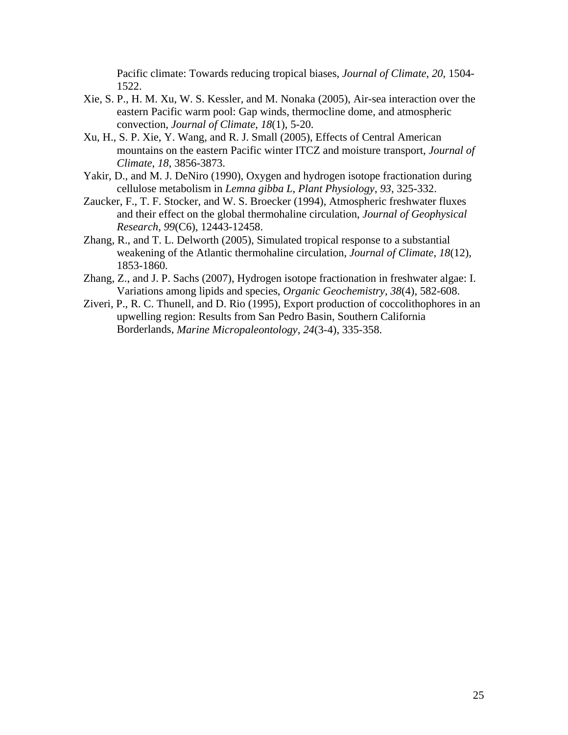Pacific climate: Towards reducing tropical biases, *Journal of Climate*, *20*, 1504- 1522.

- Xie, S. P., H. M. Xu, W. S. Kessler, and M. Nonaka (2005), Air-sea interaction over the eastern Pacific warm pool: Gap winds, thermocline dome, and atmospheric convection, *Journal of Climate*, *18*(1), 5-20.
- Xu, H., S. P. Xie, Y. Wang, and R. J. Small (2005), Effects of Central American mountains on the eastern Pacific winter ITCZ and moisture transport, *Journal of Climate*, *18*, 3856-3873.
- Yakir, D., and M. J. DeNiro (1990), Oxygen and hydrogen isotope fractionation during cellulose metabolism in *Lemna gibba L*, *Plant Physiology*, *93*, 325-332.
- Zaucker, F., T. F. Stocker, and W. S. Broecker (1994), Atmospheric freshwater fluxes and their effect on the global thermohaline circulation, *Journal of Geophysical Research*, *99*(C6), 12443-12458.
- Zhang, R., and T. L. Delworth (2005), Simulated tropical response to a substantial weakening of the Atlantic thermohaline circulation, *Journal of Climate*, *18*(12), 1853-1860.
- Zhang, Z., and J. P. Sachs (2007), Hydrogen isotope fractionation in freshwater algae: I. Variations among lipids and species, *Organic Geochemistry*, *38*(4), 582-608.
- Ziveri, P., R. C. Thunell, and D. Rio (1995), Export production of coccolithophores in an upwelling region: Results from San Pedro Basin, Southern California Borderlands, *Marine Micropaleontology*, *24*(3-4), 335-358.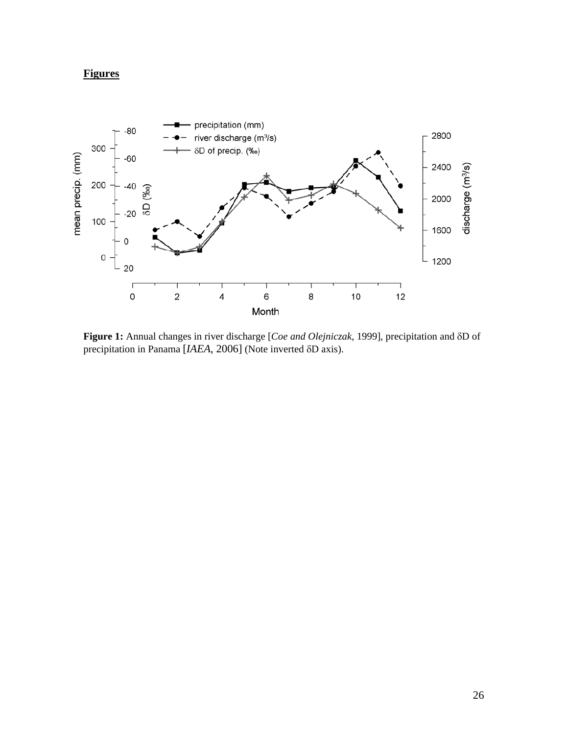# **Figures**



**Figure 1:** Annual changes in river discharge [*Coe and Olejniczak*, 1999], precipitation and δD of precipitation in Panama [*IAEA*, 2006] (Note inverted δD axis).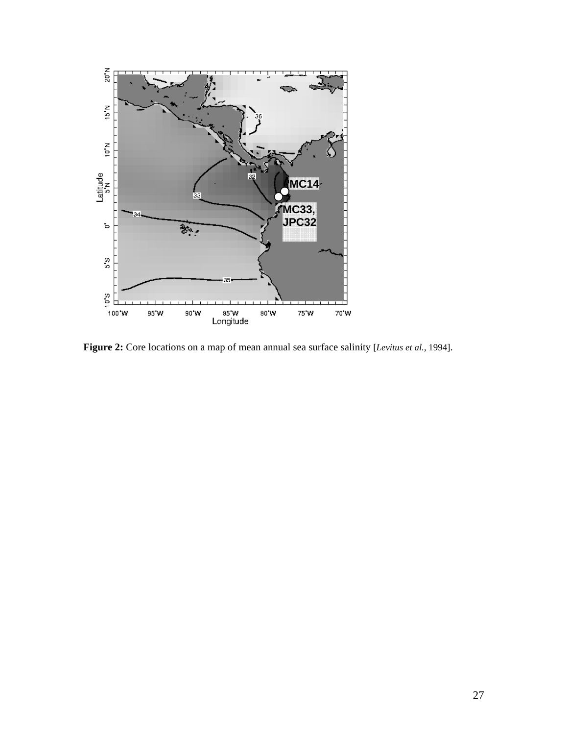

**Figure 2:** Core locations on a map of mean annual sea surface salinity [*Levitus et al.*, 1994].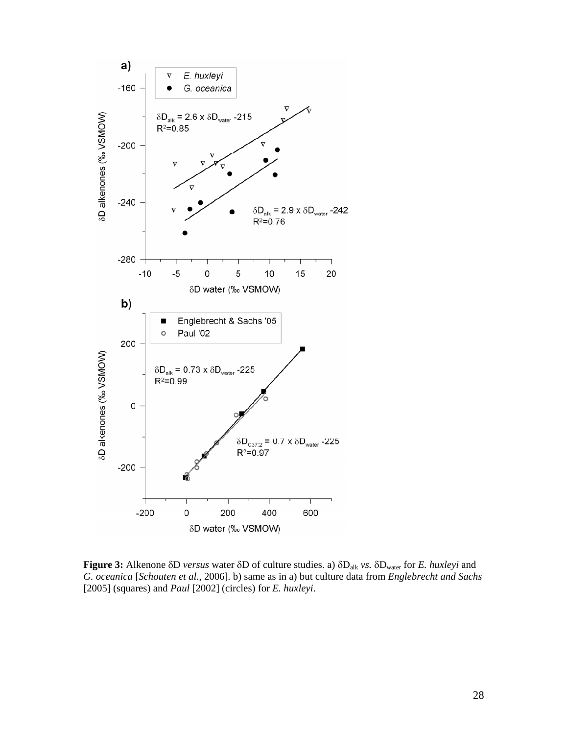

**Figure 3:** Alkenone δD *versus* water δD of culture studies. a) δDalk *vs.* δDwater for *E. huxleyi* and *G. oceanica* [*Schouten et al.*, 2006]. b) same as in a) but culture data from *Englebrecht and Sachs* [2005] (squares) and *Paul* [2002] (circles) for *E. huxleyi*.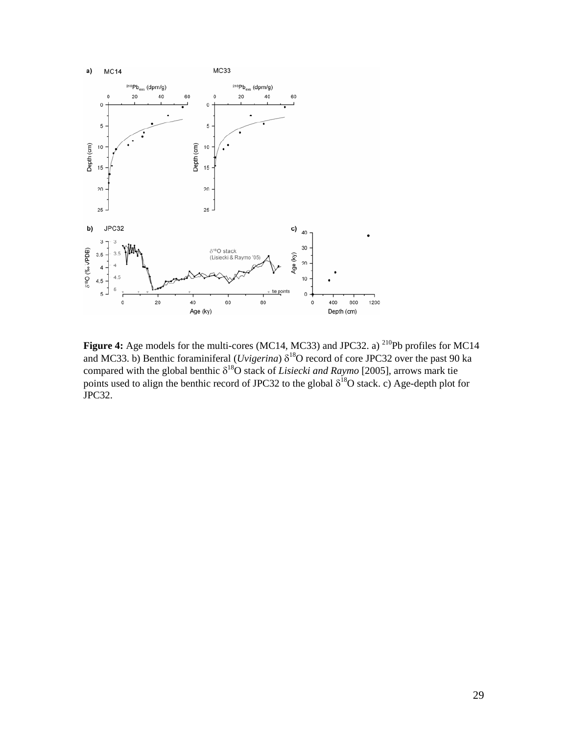

**Figure 4:** Age models for the multi-cores (MC14, MC33) and JPC32. a) <sup>210</sup>Pb profiles for MC14 and MC33. b) Benthic foraminiferal (*Uvigerina*)  $\delta^{18}O$  record of core JPC32 over the past 90 ka compared with the global benthic δ18O stack of *Lisiecki and Raymo* [2005], arrows mark tie points used to align the benthic record of JPC32 to the global  $\delta^{18}$ O stack. c) Age-depth plot for JPC32.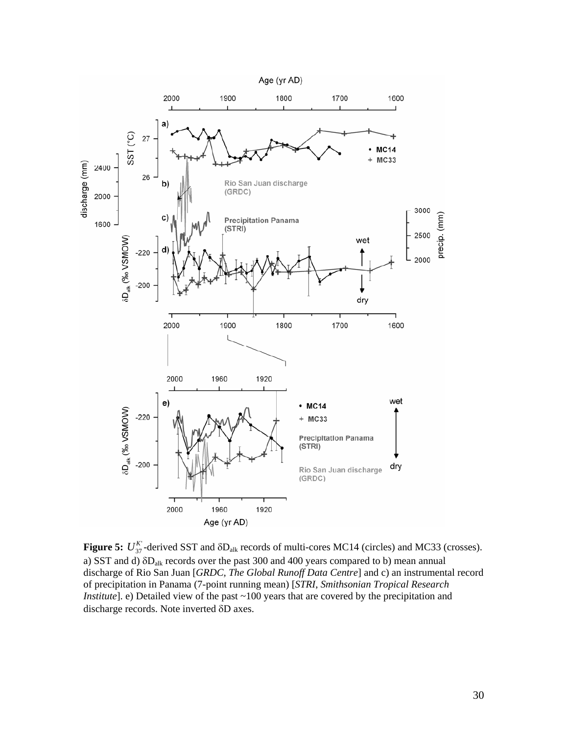

**Figure 5:**  $U_{37}^K$ -derived SST and  $\delta D_{\text{alk}}$  records of multi-cores MC14 (circles) and MC33 (crosses). a) SST and d) δDalk records over the past 300 and 400 years compared to b) mean annual discharge of Rio San Juan [*GRDC, The Global Runoff Data Centre*] and c) an instrumental record of precipitation in Panama (7-point running mean) [*STRI*, *Smithsonian Tropical Research Institute*]. e) Detailed view of the past ~100 years that are covered by the precipitation and discharge records. Note inverted δD axes.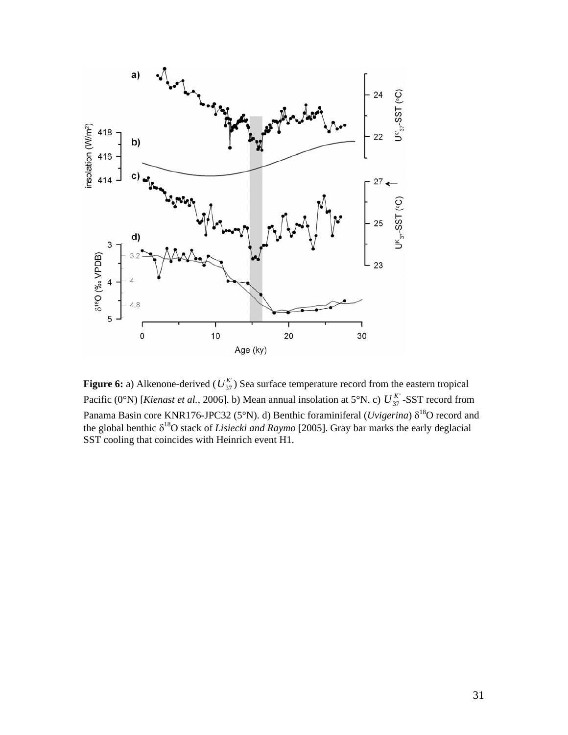

**Figure 6:** a) Alkenone-derived ( $U_{37}^K$ ) Sea surface temperature record from the eastern tropical Pacific (0°N) [*Kienast et al.*, 2006]. b) Mean annual insolation at 5°N. c)  $U_{37}^{K}$ -SST record from Panama Basin core KNR176-JPC32 (5°N). d) Benthic foraminiferal (*Uvigerina*)  $\delta^{18}O$  record and the global benthic  $\delta^{18}O$  stack of *Lisiecki and Raymo* [2005]. Gray bar marks the early deglacial SST cooling that coincides with Heinrich event H1.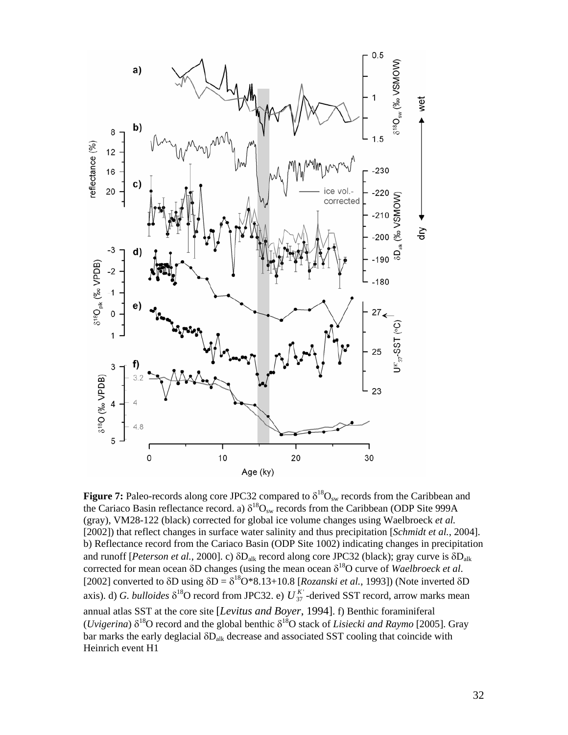

**Figure 7:** Paleo-records along core JPC32 compared to  $\delta^{18}O_{sw}$  records from the Caribbean and the Cariaco Basin reflectance record. a)  $\delta^{18}O_{sw}$  records from the Caribbean (ODP Site 999A (gray), VM28-122 (black) corrected for global ice volume changes using Waelbroeck *et al.* [2002]) that reflect changes in surface water salinity and thus precipitation [*Schmidt et al.*, 2004]. b) Reflectance record from the Cariaco Basin (ODP Site 1002) indicating changes in precipitation and runoff [*Peterson et al.*, 2000]. c) δDalk record along core JPC32 (black); gray curve is δDalk corrected for mean ocean δD changes (using the mean ocean δ18O curve of *Waelbroeck et al*. [2002] converted to  $\delta D$  using  $\delta D = \delta^{18}O*8.13+10.8$  [*Rozanski et al.*, 1993]) (Note inverted  $\delta D$ axis). d) *G. bulloides*  $\delta^{18}O$  record from JPC32. e)  $U_{37}^{K'}$ -derived SST record, arrow marks mean annual atlas SST at the core site [*Levitus and Boyer*, 1994]. f) Benthic foraminiferal (*Uvigerina*)  $\delta^{18}$ O record and the global benthic  $\delta^{18}$ O stack of *Lisiecki and Raymo* [2005]. Gray bar marks the early deglacial  $\delta D_{\text{alk}}$  decrease and associated SST cooling that coincide with Heinrich event H1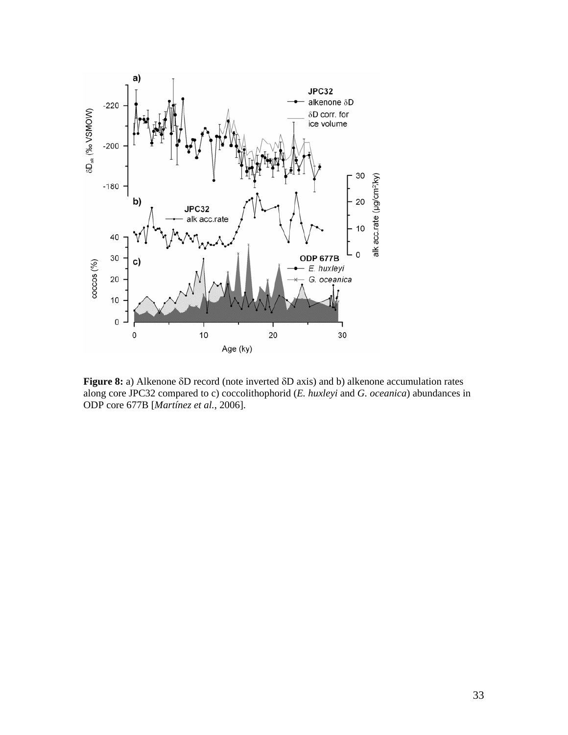

**Figure 8:** a) Alkenone δD record (note inverted δD axis) and b) alkenone accumulation rates along core JPC32 compared to c) coccolithophorid (*E. huxleyi* and *G. oceanica*) abundances in ODP core 677B [*Martínez et al.*, 2006].